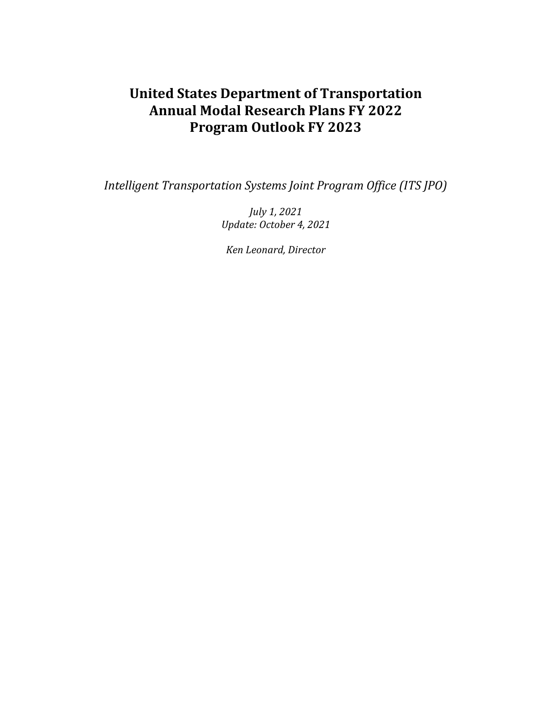# **United States Department of Transportation Annual Modal Research Plans FY 2022 Program Outlook FY 2023**

*Intelligent Transportation Systems Joint Program Office (ITS JPO)*

*July 1, 2021 Update: October 4, 2021*

*Ken Leonard, Director*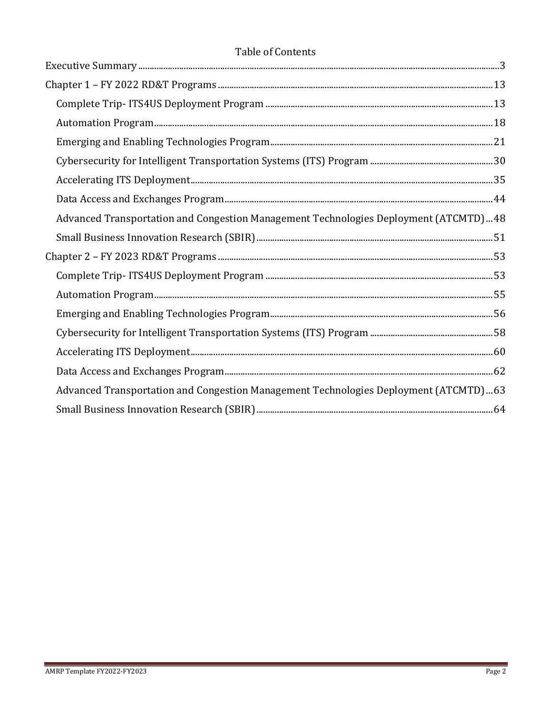## **Table of Contents**

| Advanced Transportation and Congestion Management Technologies Deployment (ATCMTD)48 |  |
|--------------------------------------------------------------------------------------|--|
|                                                                                      |  |
|                                                                                      |  |
|                                                                                      |  |
|                                                                                      |  |
|                                                                                      |  |
|                                                                                      |  |
|                                                                                      |  |
|                                                                                      |  |
| Advanced Transportation and Congestion Management Technologies Deployment (ATCMTD)63 |  |
|                                                                                      |  |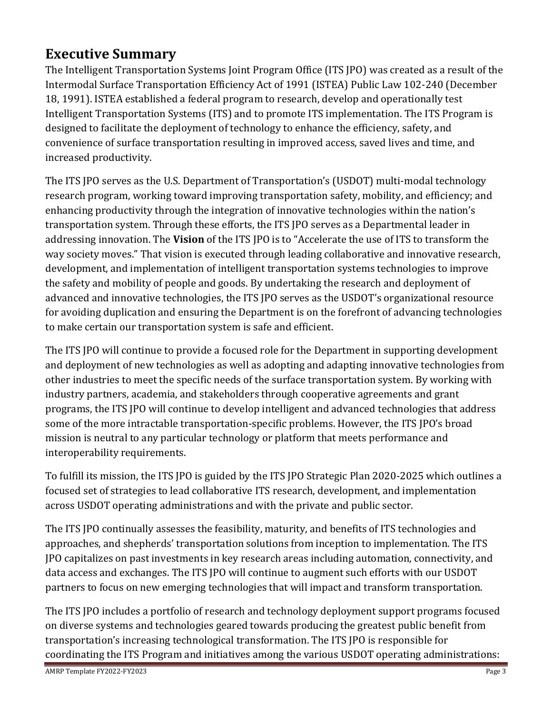# <span id="page-2-0"></span>**Executive Summary**

The Intelligent Transportation Systems Joint Program Office (ITS JPO) was created as a result of the Intermodal Surface Transportation Efficiency Act of 1991 (ISTEA) Public Law 102-240 (December 18, 1991). ISTEA established a federal program to research, develop and operationally test Intelligent Transportation Systems (ITS) and to promote ITS implementation. The ITS Program is designed to facilitate the deployment of technology to enhance the efficiency, safety, and convenience of surface transportation resulting in improved access, saved lives and time, and increased productivity.

The ITS JPO serves as the U.S. Department of Transportation's (USDOT) multi-modal technology research program, working toward improving transportation safety, mobility, and efficiency; and enhancing productivity through the integration of innovative technologies within the nation's transportation system. Through these efforts, the ITS JPO serves as a Departmental leader in addressing innovation. The **Vision** of the ITS JPO is to "Accelerate the use of ITS to transform the way society moves." That vision is executed through leading collaborative and innovative research, development, and implementation of intelligent transportation systems technologies to improve the safety and mobility of people and goods. By undertaking the research and deployment of advanced and innovative technologies, the ITS JPO serves as the USDOT's organizational resource for avoiding duplication and ensuring the Department is on the forefront of advancing technologies to make certain our transportation system is safe and efficient.

The ITS JPO will continue to provide a focused role for the Department in supporting development and deployment of new technologies as well as adopting and adapting innovative technologies from other industries to meet the specific needs of the surface transportation system. By working with industry partners, academia, and stakeholders through cooperative agreements and grant programs, the ITS JPO will continue to develop intelligent and advanced technologies that address some of the more intractable transportation-specific problems. However, the ITS JPO's broad mission is neutral to any particular technology or platform that meets performance and interoperability requirements.

To fulfill its mission, the ITS JPO is guided by the ITS JPO Strategic Plan 2020-2025 which outlines a focused set of strategies to lead collaborative ITS research, development, and implementation across USDOT operating administrations and with the private and public sector.

The ITS JPO continually assesses the feasibility, maturity, and benefits of ITS technologies and approaches, and shepherds' transportation solutions from inception to implementation. The ITS JPO capitalizes on past investments in key research areas including automation, connectivity, and data access and exchanges. The ITS JPO will continue to augment such efforts with our USDOT partners to focus on new emerging technologies that will impact and transform transportation.

The ITS JPO includes a portfolio of research and technology deployment support programs focused on diverse systems and technologies geared towards producing the greatest public benefit from transportation's increasing technological transformation. The ITS JPO is responsible for coordinating the ITS Program and initiatives among the various USDOT operating administrations: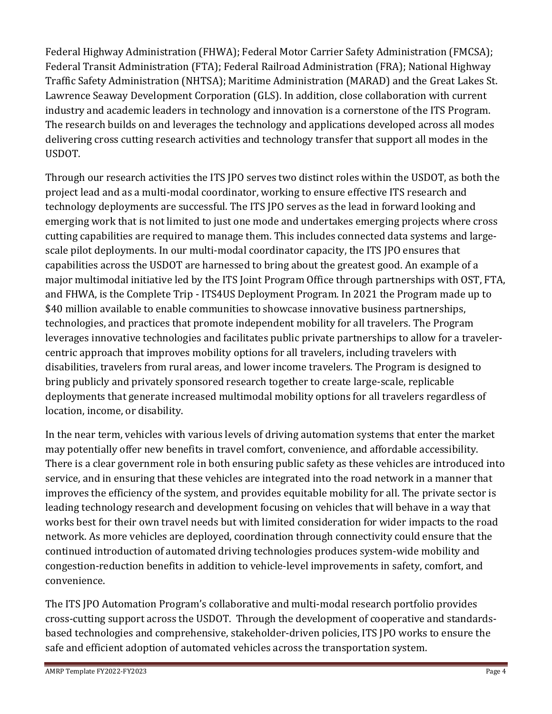Federal Highway Administration (FHWA); Federal Motor Carrier Safety Administration (FMCSA); Federal Transit Administration (FTA); Federal Railroad Administration (FRA); National Highway Traffic Safety Administration (NHTSA); Maritime Administration (MARAD) and the Great Lakes St. Lawrence Seaway Development Corporation (GLS). In addition, close collaboration with current industry and academic leaders in technology and innovation is a cornerstone of the ITS Program. The research builds on and leverages the technology and applications developed across all modes delivering cross cutting research activities and technology transfer that support all modes in the USDOT.

Through our research activities the ITS JPO serves two distinct roles within the USDOT, as both the project lead and as a multi-modal coordinator, working to ensure effective ITS research and technology deployments are successful. The ITS JPO serves as the lead in forward looking and emerging work that is not limited to just one mode and undertakes emerging projects where cross cutting capabilities are required to manage them. This includes connected data systems and largescale pilot deployments. In our multi-modal coordinator capacity, the ITS JPO ensures that capabilities across the USDOT are harnessed to bring about the greatest good. An example of a major multimodal initiative led by the ITS Joint Program Office through partnerships with OST, FTA, and FHWA, is the Complete Trip - ITS4US Deployment Program. In 2021 the Program made up to \$40 million available to enable communities to showcase innovative business partnerships, technologies, and practices that promote independent mobility for all travelers. The Program leverages innovative technologies and facilitates public private partnerships to allow for a travelercentric approach that improves mobility options for all travelers, including travelers with disabilities, travelers from rural areas, and lower income travelers. The Program is designed to bring publicly and privately sponsored research together to create large-scale, replicable deployments that generate increased multimodal mobility options for all travelers regardless of location, income, or disability.

In the near term, vehicles with various levels of driving automation systems that enter the market may potentially offer new benefits in travel comfort, convenience, and affordable accessibility. There is a clear government role in both ensuring public safety as these vehicles are introduced into service, and in ensuring that these vehicles are integrated into the road network in a manner that improves the efficiency of the system, and provides equitable mobility for all. The private sector is leading technology research and development focusing on vehicles that will behave in a way that works best for their own travel needs but with limited consideration for wider impacts to the road network. As more vehicles are deployed, coordination through connectivity could ensure that the continued introduction of automated driving technologies produces system-wide mobility and congestion-reduction benefits in addition to vehicle-level improvements in safety, comfort, and convenience.

The ITS JPO Automation Program's collaborative and multi-modal research portfolio provides cross-cutting support across the USDOT. Through the development of cooperative and standardsbased technologies and comprehensive, stakeholder-driven policies, ITS JPO works to ensure the safe and efficient adoption of automated vehicles across the transportation system.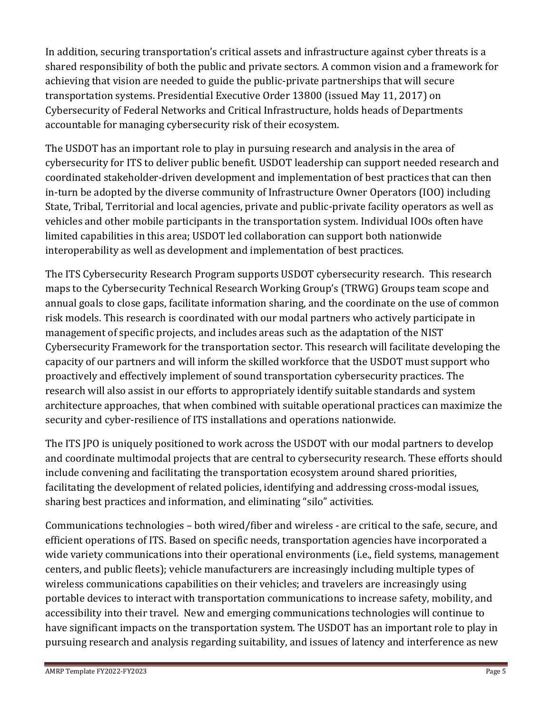In addition, securing transportation's critical assets and infrastructure against cyber threats is a shared responsibility of both the public and private sectors. A common vision and a framework for achieving that vision are needed to guide the public-private partnerships that will secure transportation systems. Presidential Executive Order 13800 (issued May 11, 2017) on Cybersecurity of Federal Networks and Critical Infrastructure, holds heads of Departments accountable for managing cybersecurity risk of their ecosystem.

The USDOT has an important role to play in pursuing research and analysis in the area of cybersecurity for ITS to deliver public benefit. USDOT leadership can support needed research and coordinated stakeholder-driven development and implementation of best practices that can then in-turn be adopted by the diverse community of Infrastructure Owner Operators (IOO) including State, Tribal, Territorial and local agencies, private and public-private facility operators as well as vehicles and other mobile participants in the transportation system. Individual IOOs often have limited capabilities in this area; USDOT led collaboration can support both nationwide interoperability as well as development and implementation of best practices.

The ITS Cybersecurity Research Program supports USDOT cybersecurity research. This research maps to the Cybersecurity Technical Research Working Group's (TRWG) Groups team scope and annual goals to close gaps, facilitate information sharing, and the coordinate on the use of common risk models. This research is coordinated with our modal partners who actively participate in management of specific projects, and includes areas such as the adaptation of the NIST Cybersecurity Framework for the transportation sector. This research will facilitate developing the capacity of our partners and will inform the skilled workforce that the USDOT must support who proactively and effectively implement of sound transportation cybersecurity practices. The research will also assist in our efforts to appropriately identify suitable standards and system architecture approaches, that when combined with suitable operational practices can maximize the security and cyber-resilience of ITS installations and operations nationwide.

The ITS JPO is uniquely positioned to work across the USDOT with our modal partners to develop and coordinate multimodal projects that are central to cybersecurity research. These efforts should include convening and facilitating the transportation ecosystem around shared priorities, facilitating the development of related policies, identifying and addressing cross-modal issues, sharing best practices and information, and eliminating "silo" activities.

Communications technologies – both wired/fiber and wireless - are critical to the safe, secure, and efficient operations of ITS. Based on specific needs, transportation agencies have incorporated a wide variety communications into their operational environments (i.e., field systems, management centers, and public fleets); vehicle manufacturers are increasingly including multiple types of wireless communications capabilities on their vehicles; and travelers are increasingly using portable devices to interact with transportation communications to increase safety, mobility, and accessibility into their travel. New and emerging communications technologies will continue to have significant impacts on the transportation system. The USDOT has an important role to play in pursuing research and analysis regarding suitability, and issues of latency and interference as new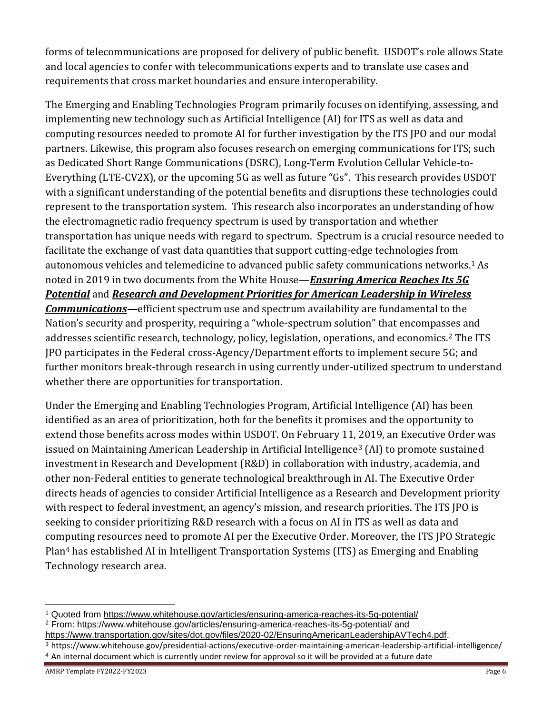forms of telecommunications are proposed for delivery of public benefit. USDOT's role allows State and local agencies to confer with telecommunications experts and to translate use cases and requirements that cross market boundaries and ensure interoperability.

The Emerging and Enabling Technologies Program primarily focuses on identifying, assessing, and implementing new technology such as Artificial Intelligence (AI) for ITS as well as data and computing resources needed to promote AI for further investigation by the ITS JPO and our modal partners. Likewise, this program also focuses research on emerging communications for ITS; such as Dedicated Short Range Communications (DSRC), Long-Term Evolution Cellular Vehicle-to-Everything (LTE-CV2X), or the upcoming 5G as well as future "Gs". This research provides USDOT with a significant understanding of the potential benefits and disruptions these technologies could represent to the transportation system. This research also incorporates an understanding of how the electromagnetic radio frequency spectrum is used by transportation and whether transportation has unique needs with regard to spectrum. Spectrum is a crucial resource needed to facilitate the exchange of vast data quantities that support cutting-edge technologies from autonomous vehicles and telemedicine to advanced public safety communications networks.<sup>1</sup> As noted in 2019 in two documents from the White House—*[Ensuring America Reaches Its 5G](https://www.whitehouse.gov/articles/ensuring-america-reaches-its-5g-potential/)  [Potential](https://www.whitehouse.gov/articles/ensuring-america-reaches-its-5g-potential/)* and *[Research and Development Priorities for American Leadership in Wireless](https://www.whitehouse.gov/wp-content/uploads/2019/05/Research-and-Development-Priorities-for-American-Leadership-in-Wireless-Communications-Report-May-2019.pdf)  [Communications](https://www.whitehouse.gov/wp-content/uploads/2019/05/Research-and-Development-Priorities-for-American-Leadership-in-Wireless-Communications-Report-May-2019.pdf)—*efficient spectrum use and spectrum availability are fundamental to the Nation's security and prosperity, requiring a "whole-spectrum solution" that encompasses and addresses scientific research, technology, policy, legislation, operations, and economics.<sup>2</sup> The ITS JPO participates in the Federal cross-Agency/Department efforts to implement secure 5G; and further monitors break-through research in using currently under-utilized spectrum to understand whether there are opportunities for transportation.

Under the Emerging and Enabling Technologies Program, Artificial Intelligence (AI) has been identified as an area of prioritization, both for the benefits it promises and the opportunity to extend those benefits across modes within USDOT. On February 11, 2019, an Executive Order was issued on Maintaining American Leadership in Artificial Intelligence<sup>3</sup> (AI) to promote sustained investment in Research and Development (R&D) in collaboration with industry, academia, and other non-Federal entities to generate technological breakthrough in AI. The Executive Order directs heads of agencies to consider Artificial Intelligence as a Research and Development priority with respect to federal investment, an agency's mission, and research priorities. The ITS JPO is seeking to consider prioritizing R&D research with a focus on AI in ITS as well as data and computing resources need to promote AI per the Executive Order. Moreover, the ITS JPO Strategic Plan<sup>4</sup> has established AI in Intelligent Transportation Systems (ITS) as Emerging and Enabling Technology research area.

<sup>1</sup> Quoted from<https://www.whitehouse.gov/articles/ensuring-america-reaches-its-5g-potential/>

<sup>2</sup> From:<https://www.whitehouse.gov/articles/ensuring-america-reaches-its-5g-potential/> and [https://www.transportation.gov/sites/dot.gov/files/2020-02/EnsuringAmericanLeadershipAVTech4.pdf.](https://www.transportation.gov/sites/dot.gov/files/2020-02/EnsuringAmericanLeadershipAVTech4.pdf)

<sup>3</sup> <https://www.whitehouse.gov/presidential-actions/executive-order-maintaining-american-leadership-artificial-intelligence/>

<sup>4</sup> An internal document which is currently under review for approval so it will be provided at a future date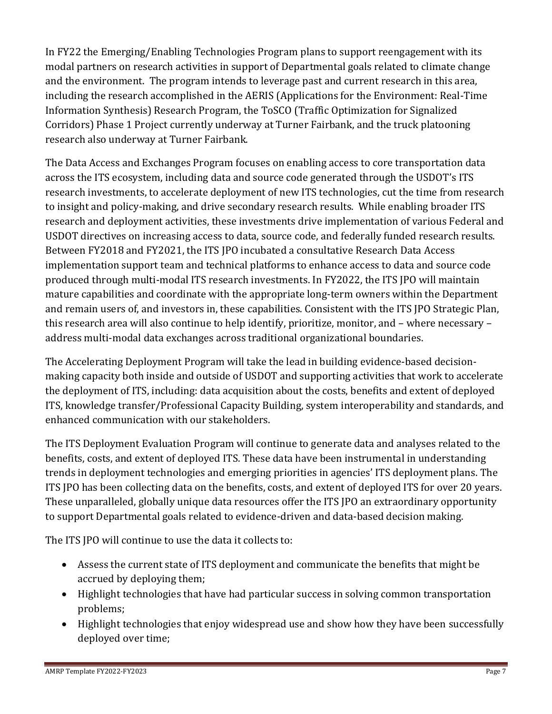In FY22 the Emerging/Enabling Technologies Program plans to support reengagement with its modal partners on research activities in support of Departmental goals related to climate change and the environment. The program intends to leverage past and current research in this area, including the research accomplished in the AERIS (Applications for the Environment: Real-Time Information Synthesis) Research Program, the ToSCO (Traffic Optimization for Signalized Corridors) Phase 1 Project currently underway at Turner Fairbank, and the truck platooning research also underway at Turner Fairbank.

The Data Access and Exchanges Program focuses on enabling access to core transportation data across the ITS ecosystem, including data and source code generated through the USDOT's ITS research investments, to accelerate deployment of new ITS technologies, cut the time from research to insight and policy-making, and drive secondary research results. While enabling broader ITS research and deployment activities, these investments drive implementation of various Federal and USDOT directives on increasing access to data, source code, and federally funded research results. Between FY2018 and FY2021, the ITS JPO incubated a consultative Research Data Access implementation support team and technical platforms to enhance access to data and source code produced through multi-modal ITS research investments. In FY2022, the ITS JPO will maintain mature capabilities and coordinate with the appropriate long-term owners within the Department and remain users of, and investors in, these capabilities. Consistent with the ITS JPO Strategic Plan, this research area will also continue to help identify, prioritize, monitor, and – where necessary – address multi-modal data exchanges across traditional organizational boundaries.

The Accelerating Deployment Program will take the lead in building evidence-based decisionmaking capacity both inside and outside of USDOT and supporting activities that work to accelerate the deployment of ITS, including: data acquisition about the costs, benefits and extent of deployed ITS, knowledge transfer/Professional Capacity Building, system interoperability and standards, and enhanced communication with our stakeholders.

The ITS Deployment Evaluation Program will continue to generate data and analyses related to the benefits, costs, and extent of deployed ITS. These data have been instrumental in understanding trends in deployment technologies and emerging priorities in agencies' ITS deployment plans. The ITS JPO has been collecting data on the benefits, costs, and extent of deployed ITS for over 20 years. These unparalleled, globally unique data resources offer the ITS JPO an extraordinary opportunity to support Departmental goals related to evidence-driven and data-based decision making.

The ITS JPO will continue to use the data it collects to:

- Assess the current state of ITS deployment and communicate the benefits that might be accrued by deploying them;
- Highlight technologies that have had particular success in solving common transportation problems;
- Highlight technologies that enjoy widespread use and show how they have been successfully deployed over time;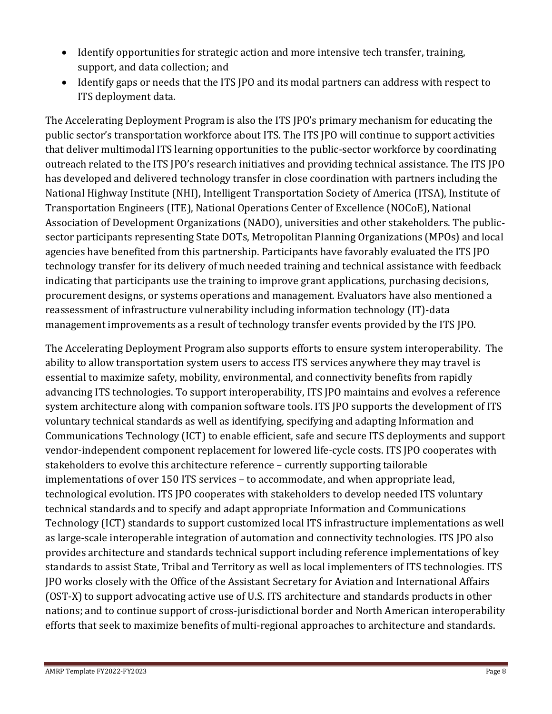- Identify opportunities for strategic action and more intensive tech transfer, training, support, and data collection; and
- Identify gaps or needs that the ITS JPO and its modal partners can address with respect to ITS deployment data.

The Accelerating Deployment Program is also the ITS JPO's primary mechanism for educating the public sector's transportation workforce about ITS. The ITS JPO will continue to support activities that deliver multimodal ITS learning opportunities to the public-sector workforce by coordinating outreach related to the ITS JPO's research initiatives and providing technical assistance. The ITS JPO has developed and delivered technology transfer in close coordination with partners including the National Highway Institute (NHI), Intelligent Transportation Society of America (ITSA), Institute of Transportation Engineers (ITE), National Operations Center of Excellence (NOCoE), National Association of Development Organizations (NADO), universities and other stakeholders. The publicsector participants representing State DOTs, Metropolitan Planning Organizations (MPOs) and local agencies have benefited from this partnership. Participants have favorably evaluated the ITS JPO technology transfer for its delivery of much needed training and technical assistance with feedback indicating that participants use the training to improve grant applications, purchasing decisions, procurement designs, or systems operations and management. Evaluators have also mentioned a reassessment of infrastructure vulnerability including information technology (IT)-data management improvements as a result of technology transfer events provided by the ITS JPO.

The Accelerating Deployment Program also supports efforts to ensure system interoperability. The ability to allow transportation system users to access ITS services anywhere they may travel is essential to maximize safety, mobility, environmental, and connectivity benefits from rapidly advancing ITS technologies. To support interoperability, ITS JPO maintains and evolves a reference system architecture along with companion software tools. ITS JPO supports the development of ITS voluntary technical standards as well as identifying, specifying and adapting Information and Communications Technology (ICT) to enable efficient, safe and secure ITS deployments and support vendor-independent component replacement for lowered life-cycle costs. ITS JPO cooperates with stakeholders to evolve this architecture reference – currently supporting tailorable implementations of over 150 ITS services – to accommodate, and when appropriate lead, technological evolution. ITS JPO cooperates with stakeholders to develop needed ITS voluntary technical standards and to specify and adapt appropriate Information and Communications Technology (ICT) standards to support customized local ITS infrastructure implementations as well as large-scale interoperable integration of automation and connectivity technologies. ITS JPO also provides architecture and standards technical support including reference implementations of key standards to assist State, Tribal and Territory as well as local implementers of ITS technologies. ITS JPO works closely with the Office of the Assistant Secretary for Aviation and International Affairs (OST-X) to support advocating active use of U.S. ITS architecture and standards products in other nations; and to continue support of cross-jurisdictional border and North American interoperability efforts that seek to maximize benefits of multi-regional approaches to architecture and standards.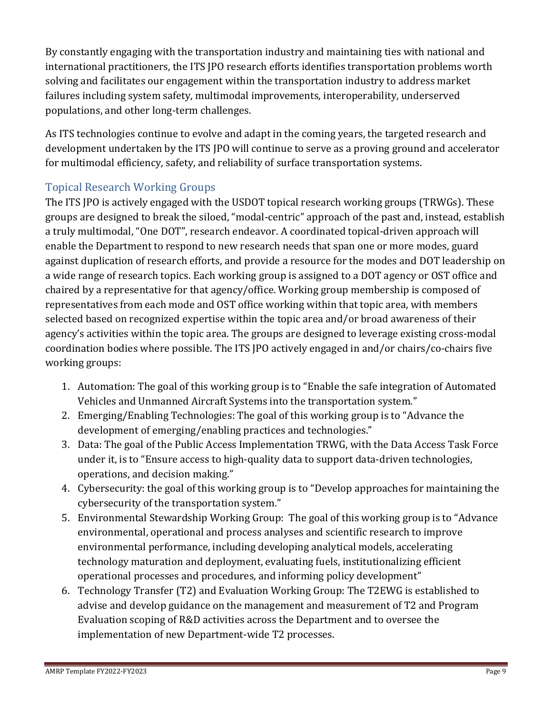By constantly engaging with the transportation industry and maintaining ties with national and international practitioners, the ITS JPO research efforts identifies transportation problems worth solving and facilitates our engagement within the transportation industry to address market failures including system safety, multimodal improvements, interoperability, underserved populations, and other long-term challenges.

As ITS technologies continue to evolve and adapt in the coming years, the targeted research and development undertaken by the ITS JPO will continue to serve as a proving ground and accelerator for multimodal efficiency, safety, and reliability of surface transportation systems.

## Topical Research Working Groups

The ITS JPO is actively engaged with the USDOT topical research working groups (TRWGs). These groups are designed to break the siloed, "modal-centric" approach of the past and, instead, establish a truly multimodal, "One DOT", research endeavor. A coordinated topical-driven approach will enable the Department to respond to new research needs that span one or more modes, guard against duplication of research efforts, and provide a resource for the modes and DOT leadership on a wide range of research topics. Each working group is assigned to a DOT agency or OST office and chaired by a representative for that agency/office. Working group membership is composed of representatives from each mode and OST office working within that topic area, with members selected based on recognized expertise within the topic area and/or broad awareness of their agency's activities within the topic area. The groups are designed to leverage existing cross-modal coordination bodies where possible. The ITS JPO actively engaged in and/or chairs/co-chairs five working groups:

- 1. Automation: The goal of this working group is to "Enable the safe integration of Automated Vehicles and Unmanned Aircraft Systems into the transportation system."
- 2. Emerging/Enabling Technologies: The goal of this working group is to "Advance the development of emerging/enabling practices and technologies."
- 3. Data: The goal of the Public Access Implementation TRWG, with the Data Access Task Force under it, is to "Ensure access to high-quality data to support data-driven technologies, operations, and decision making."
- 4. Cybersecurity: the goal of this working group is to "Develop approaches for maintaining the cybersecurity of the transportation system."
- 5. Environmental Stewardship Working Group: The goal of this working group is to "Advance environmental, operational and process analyses and scientific research to improve environmental performance, including developing analytical models, accelerating technology maturation and deployment, evaluating fuels, institutionalizing efficient operational processes and procedures, and informing policy development"
- 6. Technology Transfer (T2) and Evaluation Working Group: The T2EWG is established to advise and develop guidance on the management and measurement of T2 and Program Evaluation scoping of R&D activities across the Department and to oversee the implementation of new Department-wide T2 processes.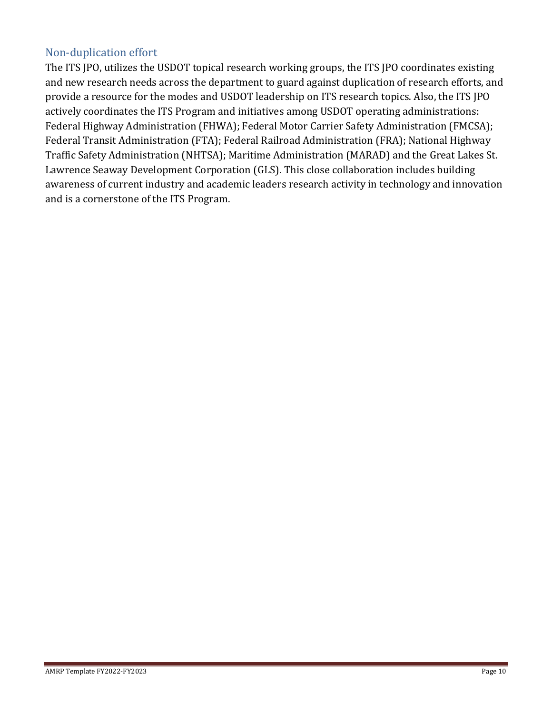## Non-duplication effort

The ITS JPO, utilizes the USDOT topical research working groups, the ITS JPO coordinates existing and new research needs across the department to guard against duplication of research efforts, and provide a resource for the modes and USDOT leadership on ITS research topics. Also, the ITS JPO actively coordinates the ITS Program and initiatives among USDOT operating administrations: Federal Highway Administration (FHWA); Federal Motor Carrier Safety Administration (FMCSA); Federal Transit Administration (FTA); Federal Railroad Administration (FRA); National Highway Traffic Safety Administration (NHTSA); Maritime Administration (MARAD) and the Great Lakes St. Lawrence Seaway Development Corporation (GLS). This close collaboration includes building awareness of current industry and academic leaders research activity in technology and innovation and is a cornerstone of the ITS Program.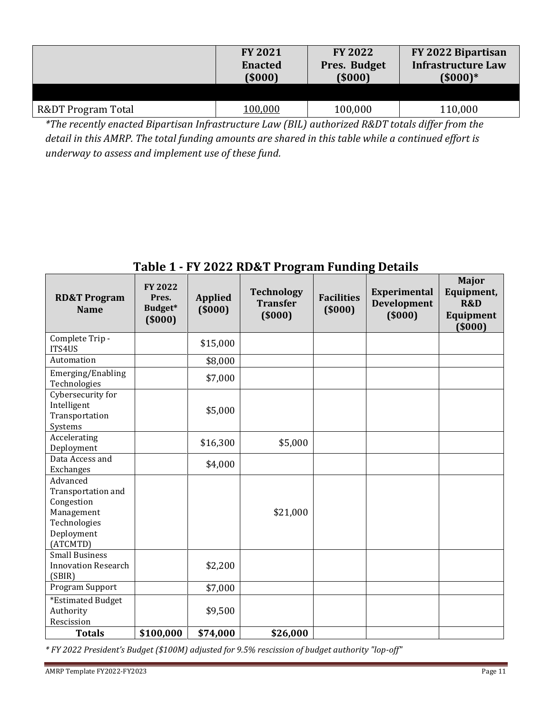|                                                                                                     | <b>FY 2021</b><br><b>Enacted</b><br>(5000)                 | <b>FY 2022</b><br>Pres. Budget<br>(5000) | FY 2022 Bipartisan<br><b>Infrastructure Law</b><br>$(5000)*$ |
|-----------------------------------------------------------------------------------------------------|------------------------------------------------------------|------------------------------------------|--------------------------------------------------------------|
| R&DT Program Total                                                                                  | 100,000                                                    | 100,000                                  | 110,000                                                      |
| $+$ $-1$<br>$\cdot$ $\cdot$ $\cdot$<br>$\cdot$ $\cdot$ $\cdot$<br>and the state of the state of the | $\mathbf{r}$ $\mathbf{r}$ $\mathbf{r}$ $\mathbf{r}$<br>(0) |                                          | $1.0000 \ldots 1.0000$<br>.                                  |

*\*The recently enacted Bipartisan Infrastructure Law (BIL) authorized R&DT totals differ from the detail in this AMRP. The total funding amounts are shared in this table while a continued effort is underway to assess and implement use of these fund.*

| <b>RD&amp;T Program</b><br><b>Name</b>                                                               | <b>FY 2022</b><br>Pres.<br>Budget*<br>(5000) | <b>Applied</b><br>(5000) | <b>Technology</b><br><b>Transfer</b><br>(5000) | <b>Facilities</b><br>(5000) | Experimental<br>Development<br>(5000) | <b>Major</b><br>Equipment,<br><b>R&amp;D</b><br>Equipment<br>( \$000] |
|------------------------------------------------------------------------------------------------------|----------------------------------------------|--------------------------|------------------------------------------------|-----------------------------|---------------------------------------|-----------------------------------------------------------------------|
| Complete Trip -<br>ITS4US                                                                            |                                              | \$15,000                 |                                                |                             |                                       |                                                                       |
| Automation                                                                                           |                                              | \$8,000                  |                                                |                             |                                       |                                                                       |
| Emerging/Enabling<br>Technologies                                                                    |                                              | \$7,000                  |                                                |                             |                                       |                                                                       |
| Cybersecurity for<br>Intelligent<br>Transportation<br>Systems                                        |                                              | \$5,000                  |                                                |                             |                                       |                                                                       |
| Accelerating<br>Deployment                                                                           |                                              | \$16,300                 | \$5,000                                        |                             |                                       |                                                                       |
| Data Access and<br>Exchanges                                                                         |                                              | \$4,000                  |                                                |                             |                                       |                                                                       |
| Advanced<br>Transportation and<br>Congestion<br>Management<br>Technologies<br>Deployment<br>(ATCMTD) |                                              |                          | \$21,000                                       |                             |                                       |                                                                       |
| <b>Small Business</b><br><b>Innovation Research</b><br>(SBIR)                                        |                                              | \$2,200                  |                                                |                             |                                       |                                                                       |
| Program Support                                                                                      |                                              | \$7,000                  |                                                |                             |                                       |                                                                       |
| *Estimated Budget<br>Authority<br>Rescission                                                         |                                              | \$9,500                  |                                                |                             |                                       |                                                                       |
| <b>Totals</b>                                                                                        | \$100,000                                    | \$74,000                 | \$26,000                                       |                             |                                       |                                                                       |

## **Table 1 - FY 2022 RD&T Program Funding Details**

*\* FY 2022 President's Budget (\$100M) adjusted for 9.5% rescission of budget authority "lop-off"*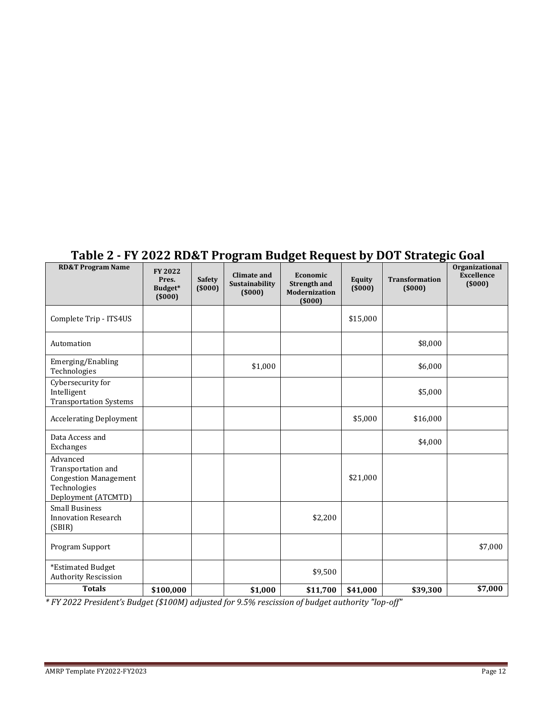| Table 2 - FY 2022 RD&T Program Budget Request by DOT Strategic Goal |  |  |  |  |
|---------------------------------------------------------------------|--|--|--|--|
|                                                                     |  |  |  |  |

| <b>RD&amp;T Program Name</b>                                                                          | <b>FY 2022</b><br>Pres.<br>Budget*<br>(5000) | <b>Safety</b><br>(5000) | <b>Climate and</b><br>Sustainability<br>(5000) | Economic<br><b>Strength and</b><br><b>Modernization</b><br>(5000) | Equity<br>(5000) | <b>Transformation</b><br>(5000) | Organizational<br><b>Excellence</b><br>(5000) |
|-------------------------------------------------------------------------------------------------------|----------------------------------------------|-------------------------|------------------------------------------------|-------------------------------------------------------------------|------------------|---------------------------------|-----------------------------------------------|
| Complete Trip - ITS4US                                                                                |                                              |                         |                                                |                                                                   | \$15,000         |                                 |                                               |
| Automation                                                                                            |                                              |                         |                                                |                                                                   |                  | \$8,000                         |                                               |
| Emerging/Enabling<br>Technologies                                                                     |                                              |                         | \$1,000                                        |                                                                   |                  | \$6,000                         |                                               |
| Cybersecurity for<br>Intelligent<br><b>Transportation Systems</b>                                     |                                              |                         |                                                |                                                                   |                  | \$5,000                         |                                               |
| <b>Accelerating Deployment</b>                                                                        |                                              |                         |                                                |                                                                   | \$5,000          | \$16,000                        |                                               |
| Data Access and<br>Exchanges                                                                          |                                              |                         |                                                |                                                                   |                  | \$4,000                         |                                               |
| Advanced<br>Transportation and<br><b>Congestion Management</b><br>Technologies<br>Deployment (ATCMTD) |                                              |                         |                                                |                                                                   | \$21,000         |                                 |                                               |
| <b>Small Business</b><br><b>Innovation Research</b><br>(SBIR)                                         |                                              |                         |                                                | \$2,200                                                           |                  |                                 |                                               |
| Program Support                                                                                       |                                              |                         |                                                |                                                                   |                  |                                 | \$7,000                                       |
| *Estimated Budget<br><b>Authority Rescission</b>                                                      |                                              |                         |                                                | \$9,500                                                           |                  |                                 |                                               |
| <b>Totals</b>                                                                                         | \$100,000                                    |                         | \$1,000                                        | \$11,700                                                          | \$41,000         | \$39,300                        | \$7,000                                       |

*\* FY 2022 President's Budget (\$100M) adjusted for 9.5% rescission of budget authority "lop-off"*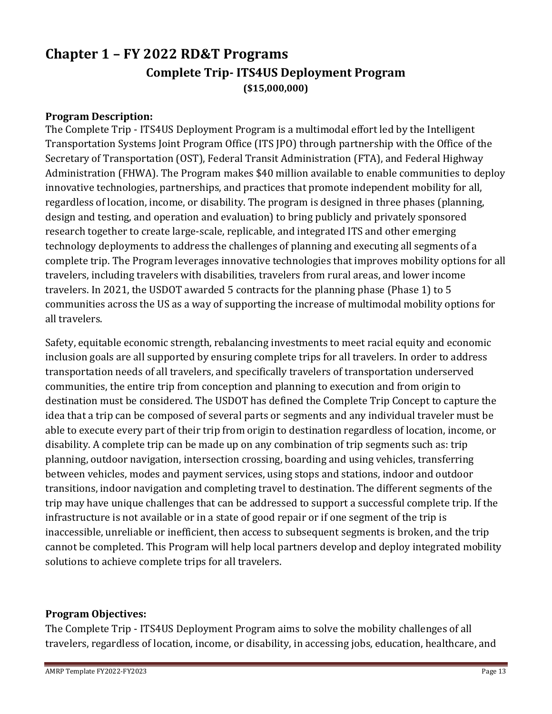# <span id="page-12-1"></span><span id="page-12-0"></span>**Chapter 1 – FY 2022 RD&T Programs Complete Trip- ITS4US Deployment Program (\$15,000,000)**

#### **Program Description:**

The Complete Trip - ITS4US Deployment Program is a multimodal effort led by the Intelligent Transportation Systems Joint Program Office (ITS JPO) through partnership with the Office of the Secretary of Transportation (OST), Federal Transit Administration (FTA), and Federal Highway Administration (FHWA). The Program makes \$40 million available to enable communities to deploy innovative technologies, partnerships, and practices that promote independent mobility for all, regardless of location, income, or disability. The program is designed in three phases (planning, design and testing, and operation and evaluation) to bring publicly and privately sponsored research together to create large-scale, replicable, and integrated ITS and other emerging technology deployments to address the challenges of planning and executing all segments of a complete trip. The Program leverages innovative technologies that improves mobility options for all travelers, including travelers with disabilities, travelers from rural areas, and lower income travelers. In 2021, the USDOT awarded 5 contracts for the planning phase (Phase 1) to 5 communities across the US as a way of supporting the increase of multimodal mobility options for all travelers.

Safety, equitable economic strength, rebalancing investments to meet racial equity and economic inclusion goals are all supported by ensuring complete trips for all travelers. In order to address transportation needs of all travelers, and specifically travelers of transportation underserved communities, the entire trip from conception and planning to execution and from origin to destination must be considered. The USDOT has defined the Complete Trip Concept to capture the idea that a trip can be composed of several parts or segments and any individual traveler must be able to execute every part of their trip from origin to destination regardless of location, income, or disability. A complete trip can be made up on any combination of trip segments such as: trip planning, outdoor navigation, intersection crossing, boarding and using vehicles, transferring between vehicles, modes and payment services, using stops and stations, indoor and outdoor transitions, indoor navigation and completing travel to destination. The different segments of the trip may have unique challenges that can be addressed to support a successful complete trip. If the infrastructure is not available or in a state of good repair or if one segment of the trip is inaccessible, unreliable or inefficient, then access to subsequent segments is broken, and the trip cannot be completed. This Program will help local partners develop and deploy integrated mobility solutions to achieve complete trips for all travelers.

#### **Program Objectives:**

The Complete Trip - ITS4US Deployment Program aims to solve the mobility challenges of all travelers, regardless of location, income, or disability, in accessing jobs, education, healthcare, and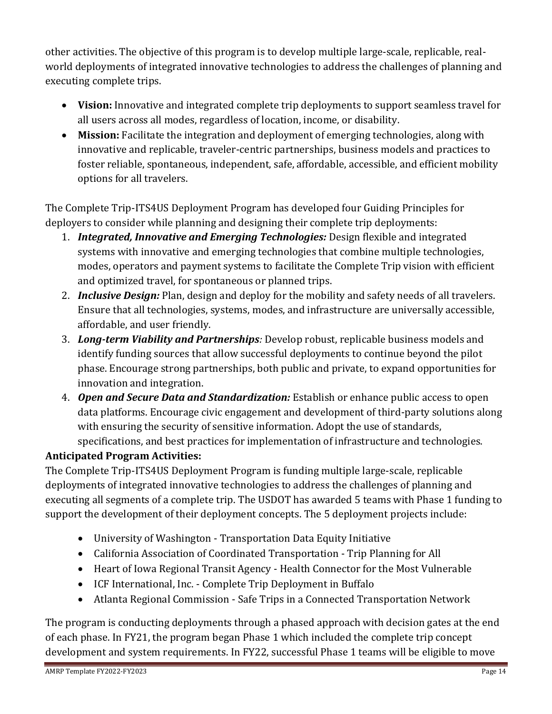other activities. The objective of this program is to develop multiple large-scale, replicable, realworld deployments of integrated innovative technologies to address the challenges of planning and executing complete trips.

- **Vision:** Innovative and integrated complete trip deployments to support seamless travel for all users across all modes, regardless of location, income, or disability.
- **Mission:** Facilitate the integration and deployment of emerging technologies, along with innovative and replicable, traveler-centric partnerships, business models and practices to foster reliable, spontaneous, independent, safe, affordable, accessible, and efficient mobility options for all travelers.

The Complete Trip-ITS4US Deployment Program has developed four Guiding Principles for deployers to consider while planning and designing their complete trip deployments:

- 1. *Integrated, Innovative and Emerging Technologies:* Design flexible and integrated systems with innovative and emerging technologies that combine multiple technologies, modes, operators and payment systems to facilitate the Complete Trip vision with efficient and optimized travel, for spontaneous or planned trips.
- 2. *Inclusive Design:* Plan, design and deploy for the mobility and safety needs of all travelers. Ensure that all technologies, systems, modes, and infrastructure are universally accessible, affordable, and user friendly.
- 3. *Long-term Viability and Partnerships:* Develop robust, replicable business models and identify funding sources that allow successful deployments to continue beyond the pilot phase. Encourage strong partnerships, both public and private, to expand opportunities for innovation and integration.
- 4. *Open and Secure Data and Standardization:* Establish or enhance public access to open data platforms. Encourage civic engagement and development of third-party solutions along with ensuring the security of sensitive information. Adopt the use of standards, specifications, and best practices for implementation of infrastructure and technologies.

## **Anticipated Program Activities:**

The Complete Trip-ITS4US Deployment Program is funding multiple large-scale, replicable deployments of integrated innovative technologies to address the challenges of planning and executing all segments of a complete trip. The USDOT has awarded 5 teams with Phase 1 funding to support the development of their deployment concepts. The 5 deployment projects include:

- University of Washington Transportation Data Equity Initiative
- California Association of Coordinated Transportation Trip Planning for All
- Heart of Iowa Regional Transit Agency Health Connector for the Most Vulnerable
- ICF International, Inc. Complete Trip Deployment in Buffalo
- Atlanta Regional Commission Safe Trips in a Connected Transportation Network

The program is conducting deployments through a phased approach with decision gates at the end of each phase. In FY21, the program began Phase 1 which included the complete trip concept development and system requirements. In FY22, successful Phase 1 teams will be eligible to move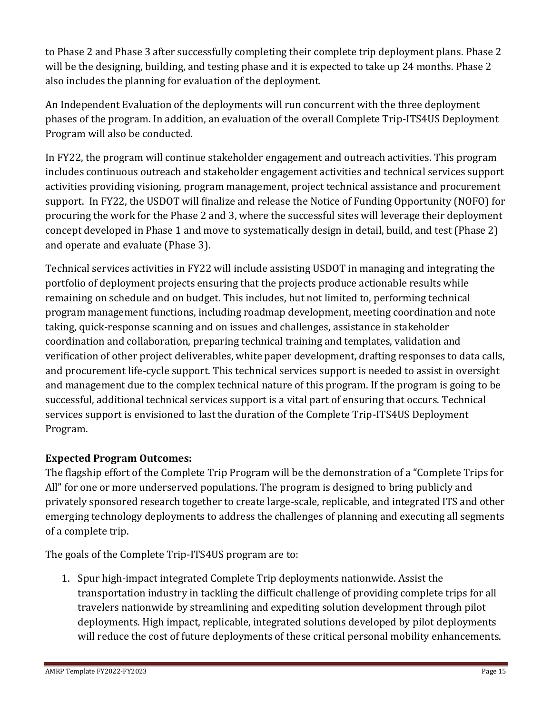to Phase 2 and Phase 3 after successfully completing their complete trip deployment plans. Phase 2 will be the designing, building, and testing phase and it is expected to take up 24 months. Phase 2 also includes the planning for evaluation of the deployment.

An Independent Evaluation of the deployments will run concurrent with the three deployment phases of the program. In addition, an evaluation of the overall Complete Trip-ITS4US Deployment Program will also be conducted.

In FY22, the program will continue stakeholder engagement and outreach activities. This program includes continuous outreach and stakeholder engagement activities and technical services support activities providing visioning, program management, project technical assistance and procurement support. In FY22, the USDOT will finalize and release the Notice of Funding Opportunity (NOFO) for procuring the work for the Phase 2 and 3, where the successful sites will leverage their deployment concept developed in Phase 1 and move to systematically design in detail, build, and test (Phase 2) and operate and evaluate (Phase 3).

Technical services activities in FY22 will include assisting USDOT in managing and integrating the portfolio of deployment projects ensuring that the projects produce actionable results while remaining on schedule and on budget. This includes, but not limited to, performing technical program management functions, including roadmap development, meeting coordination and note taking, quick-response scanning and on issues and challenges, assistance in stakeholder coordination and collaboration, preparing technical training and templates, validation and verification of other project deliverables, white paper development, drafting responses to data calls, and procurement life-cycle support. This technical services support is needed to assist in oversight and management due to the complex technical nature of this program. If the program is going to be successful, additional technical services support is a vital part of ensuring that occurs. Technical services support is envisioned to last the duration of the Complete Trip-ITS4US Deployment Program.

## **Expected Program Outcomes:**

The flagship effort of the Complete Trip Program will be the demonstration of a "Complete Trips for All" for one or more underserved populations. The program is designed to bring publicly and privately sponsored research together to create large-scale, replicable, and integrated ITS and other emerging technology deployments to address the challenges of planning and executing all segments of a complete trip.

The goals of the Complete Trip-ITS4US program are to:

1. Spur high-impact integrated Complete Trip deployments nationwide. Assist the transportation industry in tackling the difficult challenge of providing complete trips for all travelers nationwide by streamlining and expediting solution development through pilot deployments. High impact, replicable, integrated solutions developed by pilot deployments will reduce the cost of future deployments of these critical personal mobility enhancements.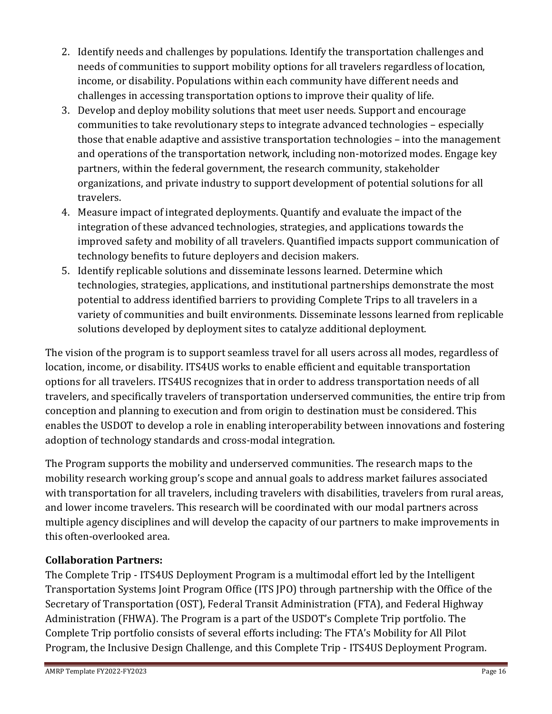- 2. Identify needs and challenges by populations. Identify the transportation challenges and needs of communities to support mobility options for all travelers regardless of location, income, or disability. Populations within each community have different needs and challenges in accessing transportation options to improve their quality of life.
- 3. Develop and deploy mobility solutions that meet user needs. Support and encourage communities to take revolutionary steps to integrate advanced technologies – especially those that enable adaptive and assistive transportation technologies – into the management and operations of the transportation network, including non-motorized modes. Engage key partners, within the federal government, the research community, stakeholder organizations, and private industry to support development of potential solutions for all travelers.
- 4. Measure impact of integrated deployments. Quantify and evaluate the impact of the integration of these advanced technologies, strategies, and applications towards the improved safety and mobility of all travelers. Quantified impacts support communication of technology benefits to future deployers and decision makers.
- 5. Identify replicable solutions and disseminate lessons learned. Determine which technologies, strategies, applications, and institutional partnerships demonstrate the most potential to address identified barriers to providing Complete Trips to all travelers in a variety of communities and built environments. Disseminate lessons learned from replicable solutions developed by deployment sites to catalyze additional deployment.

The vision of the program is to support seamless travel for all users across all modes, regardless of location, income, or disability. ITS4US works to enable efficient and equitable transportation options for all travelers. ITS4US recognizes that in order to address transportation needs of all travelers, and specifically travelers of transportation underserved communities, the entire trip from conception and planning to execution and from origin to destination must be considered. This enables the USDOT to develop a role in enabling interoperability between innovations and fostering adoption of technology standards and cross-modal integration.

The Program supports the mobility and underserved communities. The research maps to the mobility research working group's scope and annual goals to address market failures associated with transportation for all travelers, including travelers with disabilities, travelers from rural areas, and lower income travelers. This research will be coordinated with our modal partners across multiple agency disciplines and will develop the capacity of our partners to make improvements in this often-overlooked area.

## **Collaboration Partners:**

The Complete Trip - ITS4US Deployment Program is a multimodal effort led by the Intelligent Transportation Systems Joint Program Office (ITS JPO) through partnership with the Office of the Secretary of Transportation (OST), Federal Transit Administration (FTA), and Federal Highway Administration (FHWA). The Program is a part of the USDOT's Complete Trip portfolio. The Complete Trip portfolio consists of several efforts including: The FTA's Mobility for All Pilot Program, the Inclusive Design Challenge, and this Complete Trip - ITS4US Deployment Program.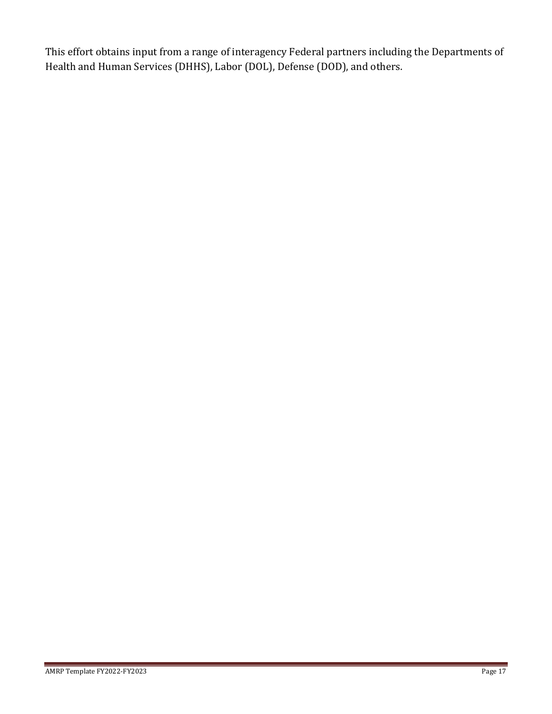This effort obtains input from a range of interagency Federal partners including the Departments of Health and Human Services (DHHS), Labor (DOL), Defense (DOD), and others.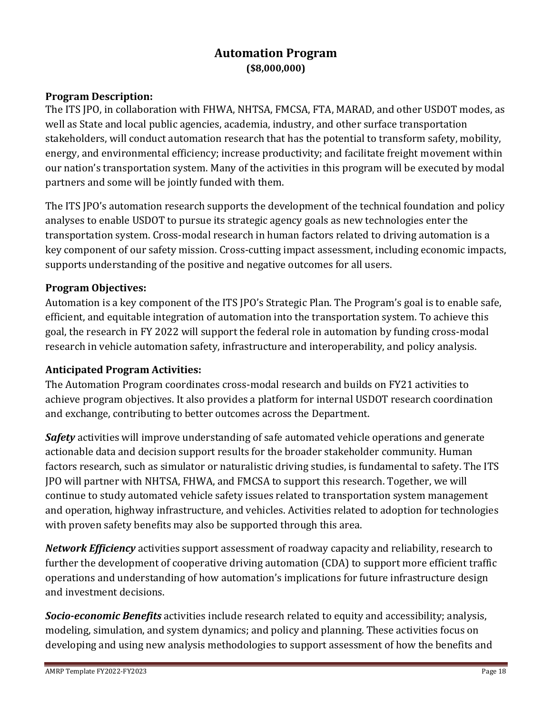## **Automation Program (\$8,000,000)**

### <span id="page-17-0"></span>**Program Description:**

The ITS JPO, in collaboration with FHWA, NHTSA, FMCSA, FTA, MARAD, and other USDOT modes, as well as State and local public agencies, academia, industry, and other surface transportation stakeholders, will conduct automation research that has the potential to transform safety, mobility, energy, and environmental efficiency; increase productivity; and facilitate freight movement within our nation's transportation system. Many of the activities in this program will be executed by modal partners and some will be jointly funded with them.

The ITS JPO's automation research supports the development of the technical foundation and policy analyses to enable USDOT to pursue its strategic agency goals as new technologies enter the transportation system. Cross-modal research in human factors related to driving automation is a key component of our safety mission. Cross-cutting impact assessment, including economic impacts, supports understanding of the positive and negative outcomes for all users.

#### **Program Objectives:**

Automation is a key component of the ITS JPO's Strategic Plan. The Program's goal is to enable safe, efficient, and equitable integration of automation into the transportation system. To achieve this goal, the research in FY 2022 will support the federal role in automation by funding cross-modal research in vehicle automation safety, infrastructure and interoperability, and policy analysis.

### **Anticipated Program Activities:**

The Automation Program coordinates cross-modal research and builds on FY21 activities to achieve program objectives. It also provides a platform for internal USDOT research coordination and exchange, contributing to better outcomes across the Department.

*Safety* activities will improve understanding of safe automated vehicle operations and generate actionable data and decision support results for the broader stakeholder community. Human factors research, such as simulator or naturalistic driving studies, is fundamental to safety. The ITS JPO will partner with NHTSA, FHWA, and FMCSA to support this research. Together, we will continue to study automated vehicle safety issues related to transportation system management and operation, highway infrastructure, and vehicles. Activities related to adoption for technologies with proven safety benefits may also be supported through this area.

*Network Efficiency* activities support assessment of roadway capacity and reliability, research to further the development of cooperative driving automation (CDA) to support more efficient traffic operations and understanding of how automation's implications for future infrastructure design and investment decisions.

*Socio-economic Benefits* activities include research related to equity and accessibility; analysis, modeling, simulation, and system dynamics; and policy and planning. These activities focus on developing and using new analysis methodologies to support assessment of how the benefits and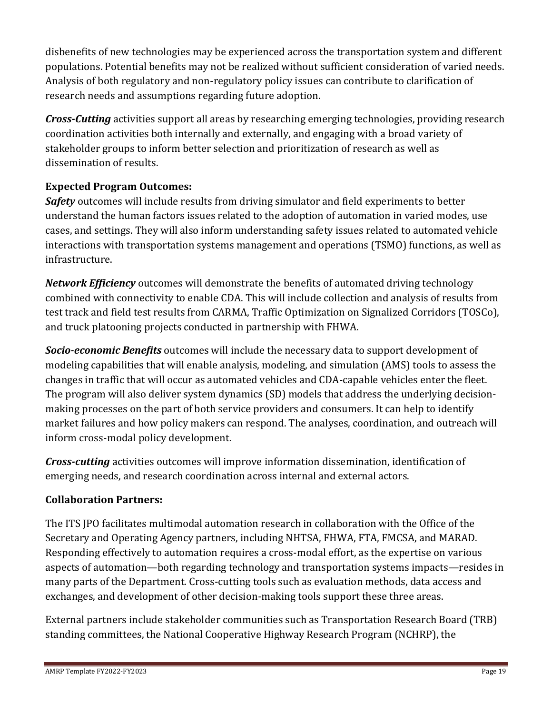disbenefits of new technologies may be experienced across the transportation system and different populations. Potential benefits may not be realized without sufficient consideration of varied needs. Analysis of both regulatory and non-regulatory policy issues can contribute to clarification of research needs and assumptions regarding future adoption.

*Cross-Cutting* activities support all areas by researching emerging technologies, providing research coordination activities both internally and externally, and engaging with a broad variety of stakeholder groups to inform better selection and prioritization of research as well as dissemination of results.

## **Expected Program Outcomes:**

**Safety** outcomes will include results from driving simulator and field experiments to better understand the human factors issues related to the adoption of automation in varied modes, use cases, and settings. They will also inform understanding safety issues related to automated vehicle interactions with transportation systems management and operations (TSMO) functions, as well as infrastructure.

*Network Efficiency* outcomes will demonstrate the benefits of automated driving technology combined with connectivity to enable CDA. This will include collection and analysis of results from test track and field test results from CARMA, Traffic Optimization on Signalized Corridors (TOSCo), and truck platooning projects conducted in partnership with FHWA.

*Socio-economic Benefits* outcomes will include the necessary data to support development of modeling capabilities that will enable analysis, modeling, and simulation (AMS) tools to assess the changes in traffic that will occur as automated vehicles and CDA-capable vehicles enter the fleet. The program will also deliver system dynamics (SD) models that address the underlying decisionmaking processes on the part of both service providers and consumers. It can help to identify market failures and how policy makers can respond. The analyses, coordination, and outreach will inform cross-modal policy development.

*Cross-cutting* activities outcomes will improve information dissemination, identification of emerging needs, and research coordination across internal and external actors.

## **Collaboration Partners:**

The ITS JPO facilitates multimodal automation research in collaboration with the Office of the Secretary and Operating Agency partners, including NHTSA, FHWA, FTA, FMCSA, and MARAD. Responding effectively to automation requires a cross-modal effort, as the expertise on various aspects of automation—both regarding technology and transportation systems impacts—resides in many parts of the Department. Cross-cutting tools such as evaluation methods, data access and exchanges, and development of other decision-making tools support these three areas.

External partners include stakeholder communities such as Transportation Research Board (TRB) standing committees, the National Cooperative Highway Research Program (NCHRP), the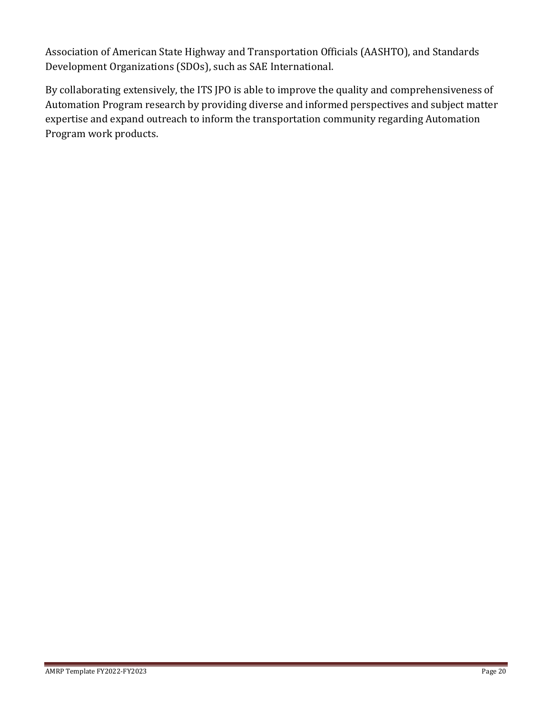Association of American State Highway and Transportation Officials (AASHTO), and Standards Development Organizations (SDOs), such as SAE International.

By collaborating extensively, the ITS JPO is able to improve the quality and comprehensiveness of Automation Program research by providing diverse and informed perspectives and subject matter expertise and expand outreach to inform the transportation community regarding Automation Program work products.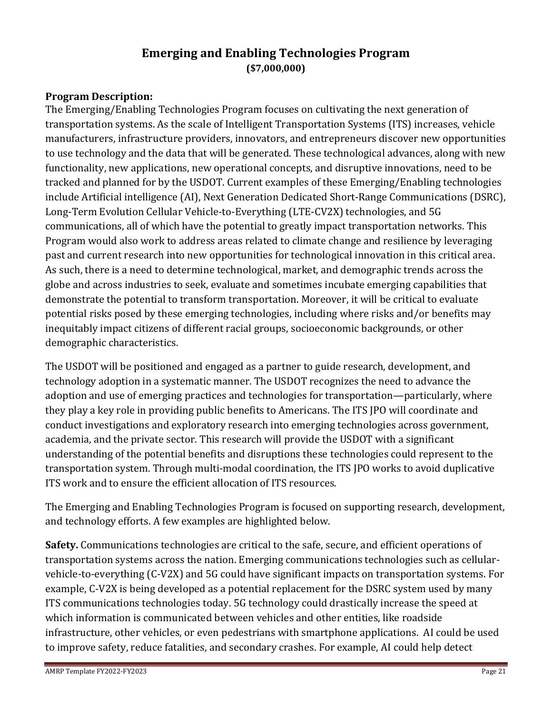## **Emerging and Enabling Technologies Program (\$7,000,000)**

## <span id="page-20-0"></span>**Program Description:**

The Emerging/Enabling Technologies Program focuses on cultivating the next generation of transportation systems. As the scale of Intelligent Transportation Systems (ITS) increases, vehicle manufacturers, infrastructure providers, innovators, and entrepreneurs discover new opportunities to use technology and the data that will be generated. These technological advances, along with new functionality, new applications, new operational concepts, and disruptive innovations, need to be tracked and planned for by the USDOT. Current examples of these Emerging/Enabling technologies include Artificial intelligence (AI), Next Generation Dedicated Short-Range Communications (DSRC), Long-Term Evolution Cellular Vehicle-to-Everything (LTE-CV2X) technologies, and 5G communications, all of which have the potential to greatly impact transportation networks. This Program would also work to address areas related to climate change and resilience by leveraging past and current research into new opportunities for technological innovation in this critical area. As such, there is a need to determine technological, market, and demographic trends across the globe and across industries to seek, evaluate and sometimes incubate emerging capabilities that demonstrate the potential to transform transportation. Moreover, it will be critical to evaluate potential risks posed by these emerging technologies, including where risks and/or benefits may inequitably impact citizens of different racial groups, socioeconomic backgrounds, or other demographic characteristics.

The USDOT will be positioned and engaged as a partner to guide research, development, and technology adoption in a systematic manner. The USDOT recognizes the need to advance the adoption and use of emerging practices and technologies for transportation—particularly, where they play a key role in providing public benefits to Americans. The ITS JPO will coordinate and conduct investigations and exploratory research into emerging technologies across government, academia, and the private sector. This research will provide the USDOT with a significant understanding of the potential benefits and disruptions these technologies could represent to the transportation system. Through multi-modal coordination, the ITS JPO works to avoid duplicative ITS work and to ensure the efficient allocation of ITS resources.

The Emerging and Enabling Technologies Program is focused on supporting research, development, and technology efforts. A few examples are highlighted below.

**Safety.** Communications technologies are critical to the safe, secure, and efficient operations of transportation systems across the nation. Emerging communications technologies such as cellularvehicle-to-everything (C-V2X) and 5G could have significant impacts on transportation systems. For example, C-V2X is being developed as a potential replacement for the DSRC system used by many ITS communications technologies today. 5G technology could drastically increase the speed at which information is communicated between vehicles and other entities, like roadside infrastructure, other vehicles, or even pedestrians with smartphone applications. AI could be used to improve safety, reduce fatalities, and secondary crashes. For example, AI could help detect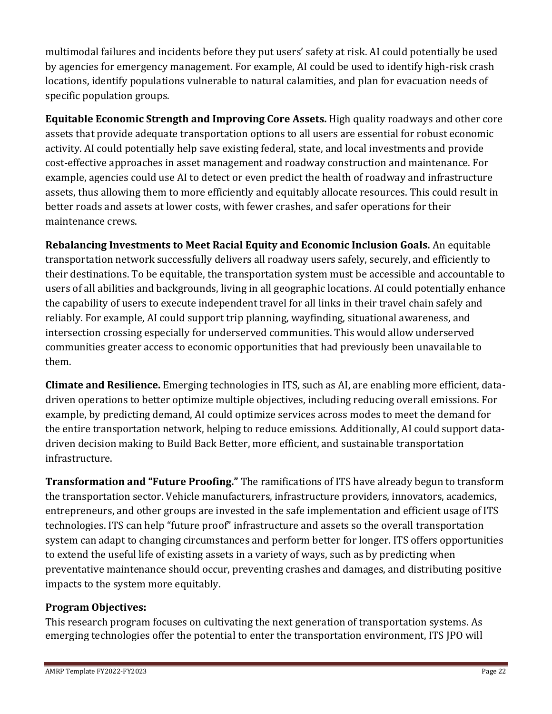multimodal failures and incidents before they put users' safety at risk. AI could potentially be used by agencies for emergency management. For example, AI could be used to identify high-risk crash locations, identify populations vulnerable to natural calamities, and plan for evacuation needs of specific population groups.

**Equitable Economic Strength and Improving Core Assets.** High quality roadways and other core assets that provide adequate transportation options to all users are essential for robust economic activity. AI could potentially help save existing federal, state, and local investments and provide cost-effective approaches in asset management and roadway construction and maintenance. For example, agencies could use AI to detect or even predict the health of roadway and infrastructure assets, thus allowing them to more efficiently and equitably allocate resources. This could result in better roads and assets at lower costs, with fewer crashes, and safer operations for their maintenance crews.

**Rebalancing Investments to Meet Racial Equity and Economic Inclusion Goals.** An equitable transportation network successfully delivers all roadway users safely, securely, and efficiently to their destinations. To be equitable, the transportation system must be accessible and accountable to users of all abilities and backgrounds, living in all geographic locations. AI could potentially enhance the capability of users to execute independent travel for all links in their travel chain safely and reliably. For example, AI could support trip planning, wayfinding, situational awareness, and intersection crossing especially for underserved communities. This would allow underserved communities greater access to economic opportunities that had previously been unavailable to them.

**Climate and Resilience.** Emerging technologies in ITS, such as AI, are enabling more efficient, datadriven operations to better optimize multiple objectives, including reducing overall emissions. For example, by predicting demand, AI could optimize services across modes to meet the demand for the entire transportation network, helping to reduce emissions. Additionally, AI could support datadriven decision making to Build Back Better, more efficient, and sustainable transportation infrastructure.

**Transformation and "Future Proofing."** The ramifications of ITS have already begun to transform the transportation sector. Vehicle manufacturers, infrastructure providers, innovators, academics, entrepreneurs, and other groups are invested in the safe implementation and efficient usage of ITS technologies. ITS can help "future proof" infrastructure and assets so the overall transportation system can adapt to changing circumstances and perform better for longer. ITS offers opportunities to extend the useful life of existing assets in a variety of ways, such as by predicting when preventative maintenance should occur, preventing crashes and damages, and distributing positive impacts to the system more equitably.

### **Program Objectives:**

This research program focuses on cultivating the next generation of transportation systems. As emerging technologies offer the potential to enter the transportation environment, ITS JPO will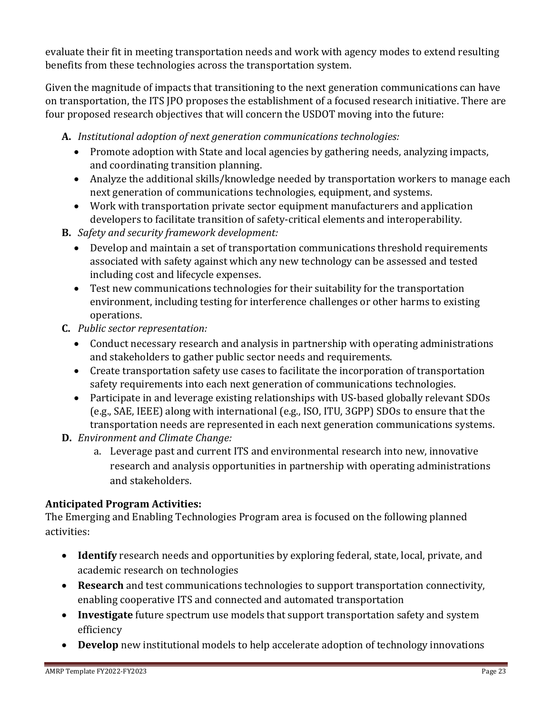evaluate their fit in meeting transportation needs and work with agency modes to extend resulting benefits from these technologies across the transportation system.

Given the magnitude of impacts that transitioning to the next generation communications can have on transportation, the ITS JPO proposes the establishment of a focused research initiative. There are four proposed research objectives that will concern the USDOT moving into the future:

- **A.** *Institutional adoption of next generation communications technologies:*
	- Promote adoption with State and local agencies by gathering needs, analyzing impacts, and coordinating transition planning.
	- Analyze the additional skills/knowledge needed by transportation workers to manage each next generation of communications technologies, equipment, and systems.
	- Work with transportation private sector equipment manufacturers and application developers to facilitate transition of safety-critical elements and interoperability.
- **B.** *Safety and security framework development:*
	- Develop and maintain a set of transportation communications threshold requirements associated with safety against which any new technology can be assessed and tested including cost and lifecycle expenses.
	- Test new communications technologies for their suitability for the transportation environment, including testing for interference challenges or other harms to existing operations.
- **C.** *Public sector representation:*
	- Conduct necessary research and analysis in partnership with operating administrations and stakeholders to gather public sector needs and requirements.
	- Create transportation safety use cases to facilitate the incorporation of transportation safety requirements into each next generation of communications technologies.
	- Participate in and leverage existing relationships with US-based globally relevant SDOs (e.g., SAE, IEEE) along with international (e.g., ISO, ITU, 3GPP) SDOs to ensure that the transportation needs are represented in each next generation communications systems.
- **D.** *Environment and Climate Change:*
	- a. Leverage past and current ITS and environmental research into new, innovative research and analysis opportunities in partnership with operating administrations and stakeholders.

## **Anticipated Program Activities:**

The Emerging and Enabling Technologies Program area is focused on the following planned activities:

- **Identify** research needs and opportunities by exploring federal, state, local, private, and academic research on technologies
- **Research** and test communications technologies to support transportation connectivity, enabling cooperative ITS and connected and automated transportation
- **Investigate** future spectrum use models that support transportation safety and system efficiency
- **Develop** new institutional models to help accelerate adoption of technology innovations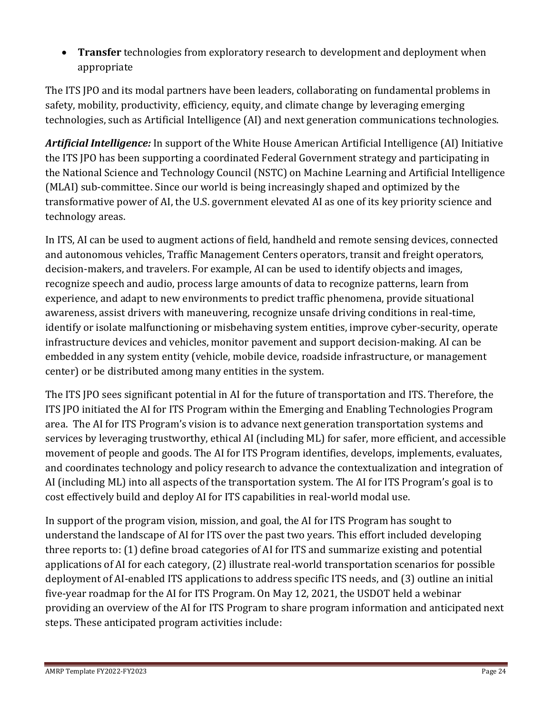• **Transfer** technologies from exploratory research to development and deployment when appropriate

The ITS JPO and its modal partners have been leaders, collaborating on fundamental problems in safety, mobility, productivity, efficiency, equity, and climate change by leveraging emerging technologies, such as Artificial Intelligence (AI) and next generation communications technologies.

*Artificial Intelligence:* In support of the White House American Artificial Intelligence (AI) Initiative the ITS JPO has been supporting a coordinated Federal Government strategy and participating in the National Science and Technology Council (NSTC) on Machine Learning and Artificial Intelligence (MLAI) sub-committee. Since our world is being increasingly shaped and optimized by the transformative power of AI, the U.S. government elevated AI as one of its key priority science and technology areas.

In ITS, AI can be used to augment actions of field, handheld and remote sensing devices, connected and autonomous vehicles, Traffic Management Centers operators, transit and freight operators, decision-makers, and travelers. For example, AI can be used to identify objects and images, recognize speech and audio, process large amounts of data to recognize patterns, learn from experience, and adapt to new environments to predict traffic phenomena, provide situational awareness, assist drivers with maneuvering, recognize unsafe driving conditions in real-time, identify or isolate malfunctioning or misbehaving system entities, improve cyber-security, operate infrastructure devices and vehicles, monitor pavement and support decision-making. AI can be embedded in any system entity (vehicle, mobile device, roadside infrastructure, or management center) or be distributed among many entities in the system.

The ITS JPO sees significant potential in AI for the future of transportation and ITS. Therefore, the ITS JPO initiated the AI for ITS Program within the Emerging and Enabling Technologies Program area. The AI for ITS Program's vision is to advance next generation transportation systems and services by leveraging trustworthy, ethical AI (including ML) for safer, more efficient, and accessible movement of people and goods. The AI for ITS Program identifies, develops, implements, evaluates, and coordinates technology and policy research to advance the contextualization and integration of AI (including ML) into all aspects of the transportation system. The AI for ITS Program's goal is to cost effectively build and deploy AI for ITS capabilities in real-world modal use.

In support of the program vision, mission, and goal, the AI for ITS Program has sought to understand the landscape of AI for ITS over the past two years. This effort included developing three reports to: (1) define broad categories of AI for ITS and summarize existing and potential applications of AI for each category, (2) illustrate real-world transportation scenarios for possible deployment of AI-enabled ITS applications to address specific ITS needs, and (3) outline an initial five-year roadmap for the AI for ITS Program. On May 12, 2021, the USDOT held a webinar providing an overview of the AI for ITS Program to share program information and anticipated next steps. These anticipated program activities include: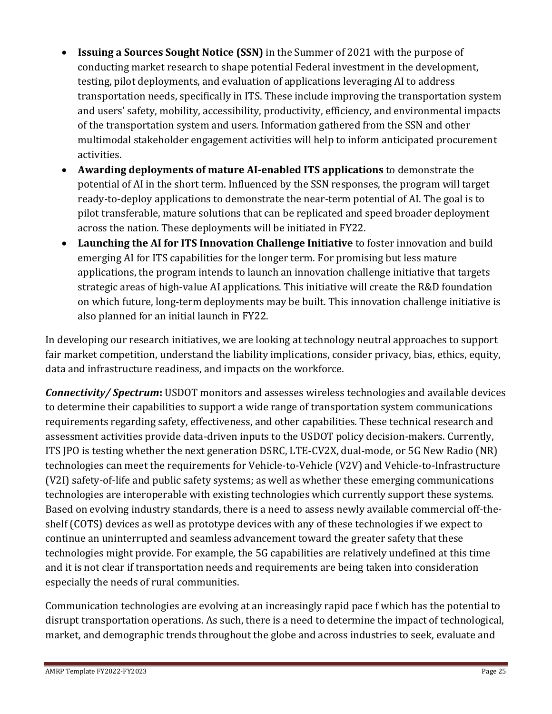- **Issuing a Sources Sought Notice (SSN)** in the Summer of 2021 with the purpose of conducting market research to shape potential Federal investment in the development, testing, pilot deployments, and evaluation of applications leveraging AI to address transportation needs, specifically in ITS. These include improving the transportation system and users' safety, mobility, accessibility, productivity, efficiency, and environmental impacts of the transportation system and users. Information gathered from the SSN and other multimodal stakeholder engagement activities will help to inform anticipated procurement activities.
- **Awarding deployments of mature AI-enabled ITS applications** to demonstrate the potential of AI in the short term. Influenced by the SSN responses, the program will target ready-to-deploy applications to demonstrate the near-term potential of AI. The goal is to pilot transferable, mature solutions that can be replicated and speed broader deployment across the nation. These deployments will be initiated in FY22.
- **Launching the AI for ITS Innovation Challenge Initiative** to foster innovation and build emerging AI for ITS capabilities for the longer term. For promising but less mature applications, the program intends to launch an innovation challenge initiative that targets strategic areas of high-value AI applications. This initiative will create the R&D foundation on which future, long-term deployments may be built. This innovation challenge initiative is also planned for an initial launch in FY22.

In developing our research initiatives, we are looking at technology neutral approaches to support fair market competition, understand the liability implications, consider privacy, bias, ethics, equity, data and infrastructure readiness, and impacts on the workforce.

*Connectivity/ Spectrum***:** USDOT monitors and assesses wireless technologies and available devices to determine their capabilities to support a wide range of transportation system communications requirements regarding safety, effectiveness, and other capabilities. These technical research and assessment activities provide data-driven inputs to the USDOT policy decision-makers. Currently, ITS JPO is testing whether the next generation DSRC, LTE-CV2X, dual-mode, or 5G New Radio (NR) technologies can meet the requirements for Vehicle-to-Vehicle (V2V) and Vehicle-to-Infrastructure (V2I) safety-of-life and public safety systems; as well as whether these emerging communications technologies are interoperable with existing technologies which currently support these systems. Based on evolving industry standards, there is a need to assess newly available commercial off-theshelf (COTS) devices as well as prototype devices with any of these technologies if we expect to continue an uninterrupted and seamless advancement toward the greater safety that these technologies might provide. For example, the 5G capabilities are relatively undefined at this time and it is not clear if transportation needs and requirements are being taken into consideration especially the needs of rural communities.

Communication technologies are evolving at an increasingly rapid pace f which has the potential to disrupt transportation operations. As such, there is a need to determine the impact of technological, market, and demographic trends throughout the globe and across industries to seek, evaluate and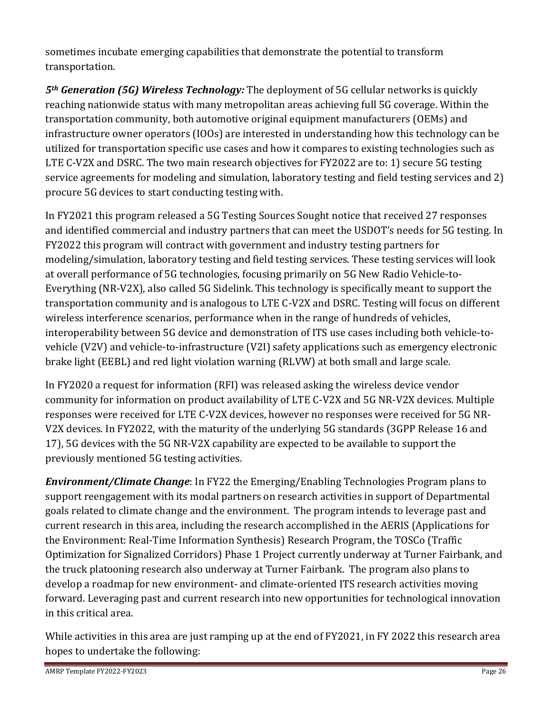sometimes incubate emerging capabilities that demonstrate the potential to transform transportation.

*5th Generation (5G) Wireless Technology:* The deployment of 5G cellular networks is quickly reaching nationwide status with many metropolitan areas achieving full 5G coverage. Within the transportation community, both automotive original equipment manufacturers (OEMs) and infrastructure owner operators (IOOs) are interested in understanding how this technology can be utilized for transportation specific use cases and how it compares to existing technologies such as LTE C-V2X and DSRC. The two main research objectives for FY2022 are to: 1) secure 5G testing service agreements for modeling and simulation, laboratory testing and field testing services and 2) procure 5G devices to start conducting testing with.

In FY2021 this program released a 5G Testing Sources Sought notice that received 27 responses and identified commercial and industry partners that can meet the USDOT's needs for 5G testing. In FY2022 this program will contract with government and industry testing partners for modeling/simulation, laboratory testing and field testing services. These testing services will look at overall performance of 5G technologies, focusing primarily on 5G New Radio Vehicle-to-Everything (NR-V2X), also called 5G Sidelink. This technology is specifically meant to support the transportation community and is analogous to LTE C-V2X and DSRC. Testing will focus on different wireless interference scenarios, performance when in the range of hundreds of vehicles, interoperability between 5G device and demonstration of ITS use cases including both vehicle-tovehicle (V2V) and vehicle-to-infrastructure (V2I) safety applications such as emergency electronic brake light (EEBL) and red light violation warning (RLVW) at both small and large scale.

In FY2020 a request for information (RFI) was released asking the wireless device vendor community for information on product availability of LTE C-V2X and 5G NR-V2X devices. Multiple responses were received for LTE C-V2X devices, however no responses were received for 5G NR-V2X devices. In FY2022, with the maturity of the underlying 5G standards (3GPP Release 16 and 17), 5G devices with the 5G NR-V2X capability are expected to be available to support the previously mentioned 5G testing activities.

*Environment/Climate Change*: In FY22 the Emerging/Enabling Technologies Program plans to support reengagement with its modal partners on research activities in support of Departmental goals related to climate change and the environment. The program intends to leverage past and current research in this area, including the research accomplished in the AERIS (Applications for the Environment: Real-Time Information Synthesis) Research Program, the TOSCo (Traffic Optimization for Signalized Corridors) Phase 1 Project currently underway at Turner Fairbank, and the truck platooning research also underway at Turner Fairbank. The program also plans to develop a roadmap for new environment- and climate-oriented ITS research activities moving forward. Leveraging past and current research into new opportunities for technological innovation in this critical area.

While activities in this area are just ramping up at the end of FY2021, in FY 2022 this research area hopes to undertake the following: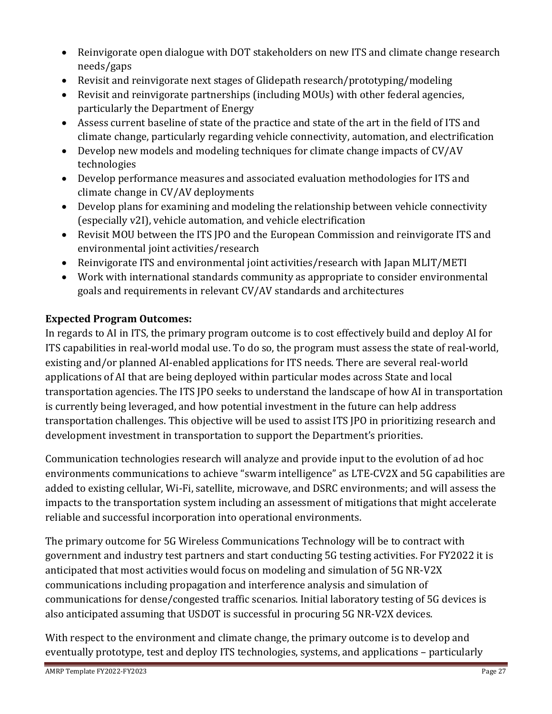- Reinvigorate open dialogue with DOT stakeholders on new ITS and climate change research needs/gaps
- Revisit and reinvigorate next stages of Glidepath research/prototyping/modeling
- Revisit and reinvigorate partnerships (including MOUs) with other federal agencies, particularly the Department of Energy
- Assess current baseline of state of the practice and state of the art in the field of ITS and climate change, particularly regarding vehicle connectivity, automation, and electrification
- Develop new models and modeling techniques for climate change impacts of CV/AV technologies
- Develop performance measures and associated evaluation methodologies for ITS and climate change in CV/AV deployments
- Develop plans for examining and modeling the relationship between vehicle connectivity (especially v2I), vehicle automation, and vehicle electrification
- Revisit MOU between the ITS JPO and the European Commission and reinvigorate ITS and environmental joint activities/research
- Reinvigorate ITS and environmental joint activities/research with Japan MLIT/METI
- Work with international standards community as appropriate to consider environmental goals and requirements in relevant CV/AV standards and architectures

## **Expected Program Outcomes:**

In regards to AI in ITS, the primary program outcome is to cost effectively build and deploy AI for ITS capabilities in real-world modal use. To do so, the program must assess the state of real-world, existing and/or planned AI-enabled applications for ITS needs. There are several real-world applications of AI that are being deployed within particular modes across State and local transportation agencies. The ITS JPO seeks to understand the landscape of how AI in transportation is currently being leveraged, and how potential investment in the future can help address transportation challenges. This objective will be used to assist ITS JPO in prioritizing research and development investment in transportation to support the Department's priorities.

Communication technologies research will analyze and provide input to the evolution of ad hoc environments communications to achieve "swarm intelligence" as LTE-CV2X and 5G capabilities are added to existing cellular, Wi-Fi, satellite, microwave, and DSRC environments; and will assess the impacts to the transportation system including an assessment of mitigations that might accelerate reliable and successful incorporation into operational environments.

The primary outcome for 5G Wireless Communications Technology will be to contract with government and industry test partners and start conducting 5G testing activities. For FY2022 it is anticipated that most activities would focus on modeling and simulation of 5G NR-V2X communications including propagation and interference analysis and simulation of communications for dense/congested traffic scenarios. Initial laboratory testing of 5G devices is also anticipated assuming that USDOT is successful in procuring 5G NR-V2X devices.

With respect to the environment and climate change, the primary outcome is to develop and eventually prototype, test and deploy ITS technologies, systems, and applications – particularly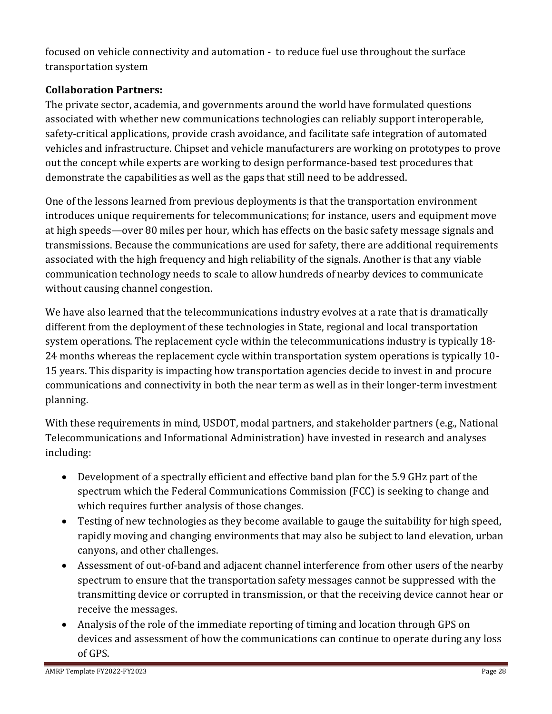focused on vehicle connectivity and automation - to reduce fuel use throughout the surface transportation system

## **Collaboration Partners:**

The private sector, academia, and governments around the world have formulated questions associated with whether new communications technologies can reliably support interoperable, safety-critical applications, provide crash avoidance, and facilitate safe integration of automated vehicles and infrastructure. Chipset and vehicle manufacturers are working on prototypes to prove out the concept while experts are working to design performance-based test procedures that demonstrate the capabilities as well as the gaps that still need to be addressed.

One of the lessons learned from previous deployments is that the transportation environment introduces unique requirements for telecommunications; for instance, users and equipment move at high speeds—over 80 miles per hour, which has effects on the basic safety message signals and transmissions. Because the communications are used for safety, there are additional requirements associated with the high frequency and high reliability of the signals. Another is that any viable communication technology needs to scale to allow hundreds of nearby devices to communicate without causing channel congestion.

We have also learned that the telecommunications industry evolves at a rate that is dramatically different from the deployment of these technologies in State, regional and local transportation system operations. The replacement cycle within the telecommunications industry is typically 18- 24 months whereas the replacement cycle within transportation system operations is typically 10- 15 years. This disparity is impacting how transportation agencies decide to invest in and procure communications and connectivity in both the near term as well as in their longer-term investment planning.

With these requirements in mind, USDOT, modal partners, and stakeholder partners (e.g., National Telecommunications and Informational Administration) have invested in research and analyses including:

- Development of a spectrally efficient and effective band plan for the 5.9 GHz part of the spectrum which the Federal Communications Commission (FCC) is seeking to change and which requires further analysis of those changes.
- Testing of new technologies as they become available to gauge the suitability for high speed, rapidly moving and changing environments that may also be subject to land elevation, urban canyons, and other challenges.
- Assessment of out-of-band and adjacent channel interference from other users of the nearby spectrum to ensure that the transportation safety messages cannot be suppressed with the transmitting device or corrupted in transmission, or that the receiving device cannot hear or receive the messages.
- Analysis of the role of the immediate reporting of timing and location through GPS on devices and assessment of how the communications can continue to operate during any loss of GPS.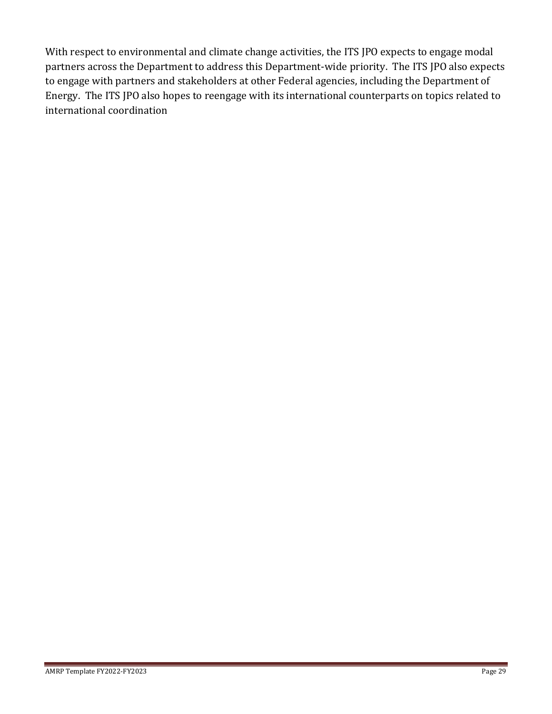With respect to environmental and climate change activities, the ITS JPO expects to engage modal partners across the Department to address this Department-wide priority. The ITS JPO also expects to engage with partners and stakeholders at other Federal agencies, including the Department of Energy. The ITS JPO also hopes to reengage with its international counterparts on topics related to international coordination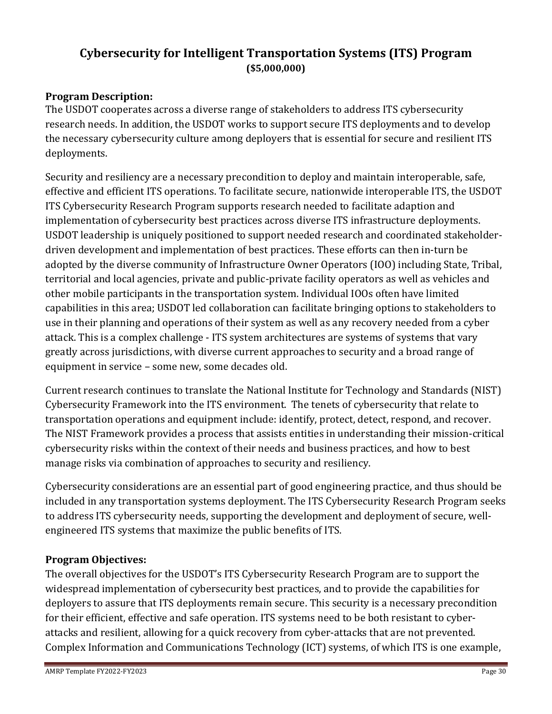## <span id="page-29-0"></span>**Cybersecurity for Intelligent Transportation Systems (ITS) Program (\$5,000,000)**

## **Program Description:**

The USDOT cooperates across a diverse range of stakeholders to address ITS cybersecurity research needs. In addition, the USDOT works to support secure ITS deployments and to develop the necessary cybersecurity culture among deployers that is essential for secure and resilient ITS deployments.

Security and resiliency are a necessary precondition to deploy and maintain interoperable, safe, effective and efficient ITS operations. To facilitate secure, nationwide interoperable ITS, the USDOT ITS Cybersecurity Research Program supports research needed to facilitate adaption and implementation of cybersecurity best practices across diverse ITS infrastructure deployments. USDOT leadership is uniquely positioned to support needed research and coordinated stakeholderdriven development and implementation of best practices. These efforts can then in-turn be adopted by the diverse community of Infrastructure Owner Operators (IOO) including State, Tribal, territorial and local agencies, private and public-private facility operators as well as vehicles and other mobile participants in the transportation system. Individual IOOs often have limited capabilities in this area; USDOT led collaboration can facilitate bringing options to stakeholders to use in their planning and operations of their system as well as any recovery needed from a cyber attack. This is a complex challenge - ITS system architectures are systems of systems that vary greatly across jurisdictions, with diverse current approaches to security and a broad range of equipment in service – some new, some decades old.

Current research continues to translate the National Institute for Technology and Standards (NIST) Cybersecurity Framework into the ITS environment. The tenets of cybersecurity that relate to transportation operations and equipment include: identify, protect, detect, respond, and recover. The NIST Framework provides a process that assists entities in understanding their mission-critical cybersecurity risks within the context of their needs and business practices, and how to best manage risks via combination of approaches to security and resiliency.

Cybersecurity considerations are an essential part of good engineering practice, and thus should be included in any transportation systems deployment. The ITS Cybersecurity Research Program seeks to address ITS cybersecurity needs, supporting the development and deployment of secure, wellengineered ITS systems that maximize the public benefits of ITS.

### **Program Objectives:**

The overall objectives for the USDOT's ITS Cybersecurity Research Program are to support the widespread implementation of cybersecurity best practices, and to provide the capabilities for deployers to assure that ITS deployments remain secure. This security is a necessary precondition for their efficient, effective and safe operation. ITS systems need to be both resistant to cyberattacks and resilient, allowing for a quick recovery from cyber-attacks that are not prevented. Complex Information and Communications Technology (ICT) systems, of which ITS is one example,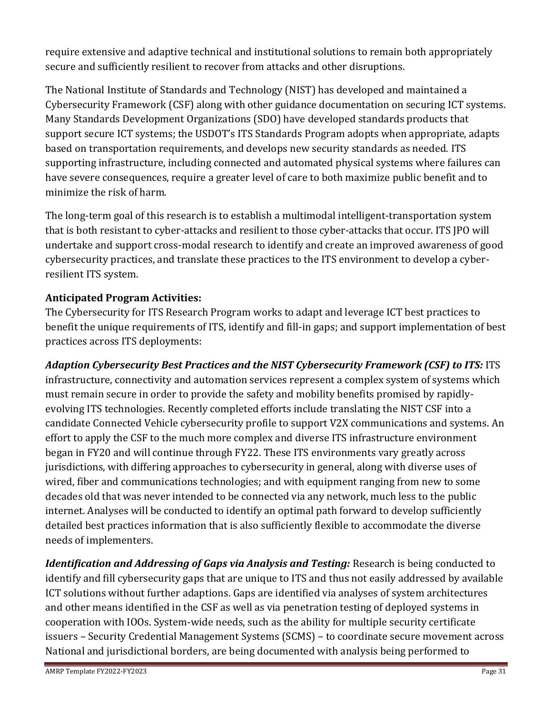require extensive and adaptive technical and institutional solutions to remain both appropriately secure and sufficiently resilient to recover from attacks and other disruptions.

The National Institute of Standards and Technology (NIST) has developed and maintained a Cybersecurity Framework (CSF) along with other guidance documentation on securing ICT systems. Many Standards Development Organizations (SDO) have developed standards products that support secure ICT systems; the USDOT's ITS Standards Program adopts when appropriate, adapts based on transportation requirements, and develops new security standards as needed. ITS supporting infrastructure, including connected and automated physical systems where failures can have severe consequences, require a greater level of care to both maximize public benefit and to minimize the risk of harm.

The long-term goal of this research is to establish a multimodal intelligent-transportation system that is both resistant to cyber-attacks and resilient to those cyber-attacks that occur. ITS JPO will undertake and support cross-modal research to identify and create an improved awareness of good cybersecurity practices, and translate these practices to the ITS environment to develop a cyberresilient ITS system.

## **Anticipated Program Activities:**

The Cybersecurity for ITS Research Program works to adapt and leverage ICT best practices to benefit the unique requirements of ITS, identify and fill-in gaps; and support implementation of best practices across ITS deployments:

*Adaption Cybersecurity Best Practices and the NIST Cybersecurity Framework (CSF) to ITS:* ITS infrastructure, connectivity and automation services represent a complex system of systems which must remain secure in order to provide the safety and mobility benefits promised by rapidlyevolving ITS technologies. Recently completed efforts include translating the NIST CSF into a candidate Connected Vehicle cybersecurity profile to support V2X communications and systems. An effort to apply the CSF to the much more complex and diverse ITS infrastructure environment began in FY20 and will continue through FY22. These ITS environments vary greatly across jurisdictions, with differing approaches to cybersecurity in general, along with diverse uses of wired, fiber and communications technologies; and with equipment ranging from new to some decades old that was never intended to be connected via any network, much less to the public internet. Analyses will be conducted to identify an optimal path forward to develop sufficiently detailed best practices information that is also sufficiently flexible to accommodate the diverse needs of implementers.

*Identification and Addressing of Gaps via Analysis and Testing: Research is being conducted to* identify and fill cybersecurity gaps that are unique to ITS and thus not easily addressed by available ICT solutions without further adaptions. Gaps are identified via analyses of system architectures and other means identified in the CSF as well as via penetration testing of deployed systems in cooperation with IOOs. System-wide needs, such as the ability for multiple security certificate issuers – Security Credential Management Systems (SCMS) – to coordinate secure movement across National and jurisdictional borders, are being documented with analysis being performed to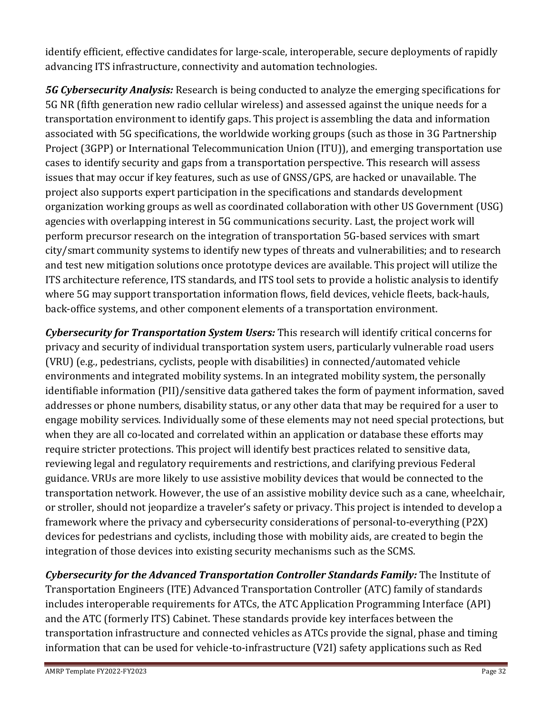identify efficient, effective candidates for large-scale, interoperable, secure deployments of rapidly advancing ITS infrastructure, connectivity and automation technologies.

*5G Cybersecurity Analysis:* Research is being conducted to analyze the emerging specifications for 5G NR (fifth generation new radio cellular wireless) and assessed against the unique needs for a transportation environment to identify gaps. This project is assembling the data and information associated with 5G specifications, the worldwide working groups (such as those in 3G Partnership Project (3GPP) or International Telecommunication Union (ITU)), and emerging transportation use cases to identify security and gaps from a transportation perspective. This research will assess issues that may occur if key features, such as use of GNSS/GPS, are hacked or unavailable. The project also supports expert participation in the specifications and standards development organization working groups as well as coordinated collaboration with other US Government (USG) agencies with overlapping interest in 5G communications security. Last, the project work will perform precursor research on the integration of transportation 5G-based services with smart city/smart community systems to identify new types of threats and vulnerabilities; and to research and test new mitigation solutions once prototype devices are available. This project will utilize the ITS architecture reference, ITS standards, and ITS tool sets to provide a holistic analysis to identify where 5G may support transportation information flows, field devices, vehicle fleets, back-hauls, back-office systems, and other component elements of a transportation environment.

*Cybersecurity for Transportation System Users:* This research will identify critical concerns for privacy and security of individual transportation system users, particularly vulnerable road users (VRU) (e.g., pedestrians, cyclists, people with disabilities) in connected/automated vehicle environments and integrated mobility systems. In an integrated mobility system, the personally identifiable information (PII)/sensitive data gathered takes the form of payment information, saved addresses or phone numbers, disability status, or any other data that may be required for a user to engage mobility services. Individually some of these elements may not need special protections, but when they are all co-located and correlated within an application or database these efforts may require stricter protections. This project will identify best practices related to sensitive data, reviewing legal and regulatory requirements and restrictions, and clarifying previous Federal guidance. VRUs are more likely to use assistive mobility devices that would be connected to the transportation network. However, the use of an assistive mobility device such as a cane, wheelchair, or stroller, should not jeopardize a traveler's safety or privacy. This project is intended to develop a framework where the privacy and cybersecurity considerations of personal-to-everything (P2X) devices for pedestrians and cyclists, including those with mobility aids, are created to begin the integration of those devices into existing security mechanisms such as the SCMS.

*Cybersecurity for the Advanced Transportation Controller Standards Family:* The Institute of Transportation Engineers (ITE) Advanced Transportation Controller (ATC) family of standards includes interoperable requirements for ATCs, the ATC Application Programming Interface (API) and the ATC (formerly ITS) Cabinet. These standards provide key interfaces between the transportation infrastructure and connected vehicles as ATCs provide the signal, phase and timing information that can be used for vehicle-to-infrastructure (V2I) safety applications such as Red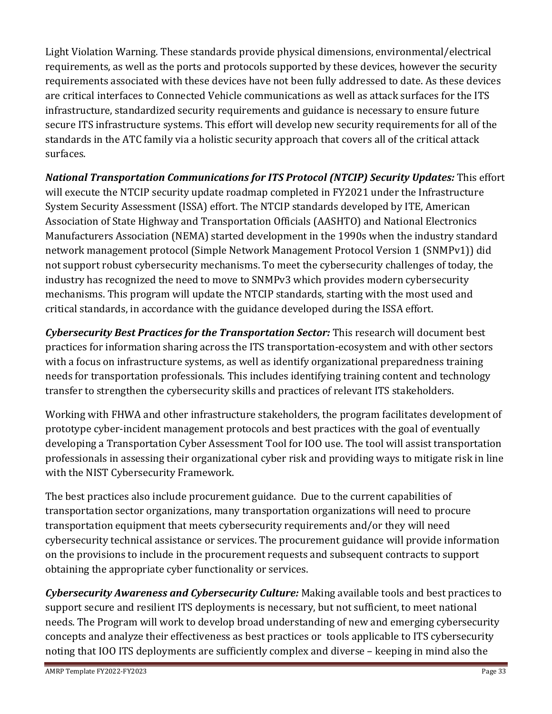Light Violation Warning. These standards provide physical dimensions, environmental/electrical requirements, as well as the ports and protocols supported by these devices, however the security requirements associated with these devices have not been fully addressed to date. As these devices are critical interfaces to Connected Vehicle communications as well as attack surfaces for the ITS infrastructure, standardized security requirements and guidance is necessary to ensure future secure ITS infrastructure systems. This effort will develop new security requirements for all of the standards in the ATC family via a holistic security approach that covers all of the critical attack surfaces.

*National Transportation Communications for ITS Protocol (NTCIP) Security Updates:* This effort will execute the NTCIP security update roadmap completed in FY2021 under the Infrastructure System Security Assessment (ISSA) effort. The NTCIP standards developed by ITE, American Association of State Highway and Transportation Officials (AASHTO) and National Electronics Manufacturers Association (NEMA) started development in the 1990s when the industry standard network management protocol (Simple Network Management Protocol Version 1 (SNMPv1)) did not support robust cybersecurity mechanisms. To meet the cybersecurity challenges of today, the industry has recognized the need to move to SNMPv3 which provides modern cybersecurity mechanisms. This program will update the NTCIP standards, starting with the most used and critical standards, in accordance with the guidance developed during the ISSA effort.

*Cybersecurity Best Practices for the Transportation Sector:* This research will document best practices for information sharing across the ITS transportation-ecosystem and with other sectors with a focus on infrastructure systems, as well as identify organizational preparedness training needs for transportation professionals. This includes identifying training content and technology transfer to strengthen the cybersecurity skills and practices of relevant ITS stakeholders.

Working with FHWA and other infrastructure stakeholders, the program facilitates development of prototype cyber-incident management protocols and best practices with the goal of eventually developing a Transportation Cyber Assessment Tool for IOO use. The tool will assist transportation professionals in assessing their organizational cyber risk and providing ways to mitigate risk in line with the NIST Cybersecurity Framework.

The best practices also include procurement guidance. Due to the current capabilities of transportation sector organizations, many transportation organizations will need to procure transportation equipment that meets cybersecurity requirements and/or they will need cybersecurity technical assistance or services. The procurement guidance will provide information on the provisions to include in the procurement requests and subsequent contracts to support obtaining the appropriate cyber functionality or services.

*Cybersecurity Awareness and Cybersecurity Culture:* Making available tools and best practices to support secure and resilient ITS deployments is necessary, but not sufficient, to meet national needs. The Program will work to develop broad understanding of new and emerging cybersecurity concepts and analyze their effectiveness as best practices or tools applicable to ITS cybersecurity noting that IOO ITS deployments are sufficiently complex and diverse – keeping in mind also the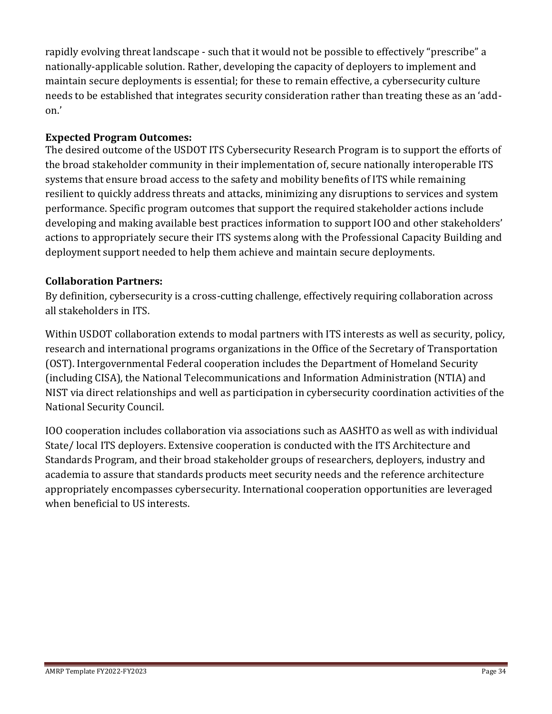rapidly evolving threat landscape - such that it would not be possible to effectively "prescribe" a nationally-applicable solution. Rather, developing the capacity of deployers to implement and maintain secure deployments is essential; for these to remain effective, a cybersecurity culture needs to be established that integrates security consideration rather than treating these as an 'addon.'

### **Expected Program Outcomes:**

The desired outcome of the USDOT ITS Cybersecurity Research Program is to support the efforts of the broad stakeholder community in their implementation of, secure nationally interoperable ITS systems that ensure broad access to the safety and mobility benefits of ITS while remaining resilient to quickly address threats and attacks, minimizing any disruptions to services and system performance. Specific program outcomes that support the required stakeholder actions include developing and making available best practices information to support IOO and other stakeholders' actions to appropriately secure their ITS systems along with the Professional Capacity Building and deployment support needed to help them achieve and maintain secure deployments.

#### **Collaboration Partners:**

By definition, cybersecurity is a cross-cutting challenge, effectively requiring collaboration across all stakeholders in ITS.

Within USDOT collaboration extends to modal partners with ITS interests as well as security, policy, research and international programs organizations in the Office of the Secretary of Transportation (OST). Intergovernmental Federal cooperation includes the Department of Homeland Security (including CISA), the National Telecommunications and Information Administration (NTIA) and NIST via direct relationships and well as participation in cybersecurity coordination activities of the National Security Council.

IOO cooperation includes collaboration via associations such as AASHTO as well as with individual State/ local ITS deployers. Extensive cooperation is conducted with the ITS Architecture and Standards Program, and their broad stakeholder groups of researchers, deployers, industry and academia to assure that standards products meet security needs and the reference architecture appropriately encompasses cybersecurity. International cooperation opportunities are leveraged when beneficial to US interests.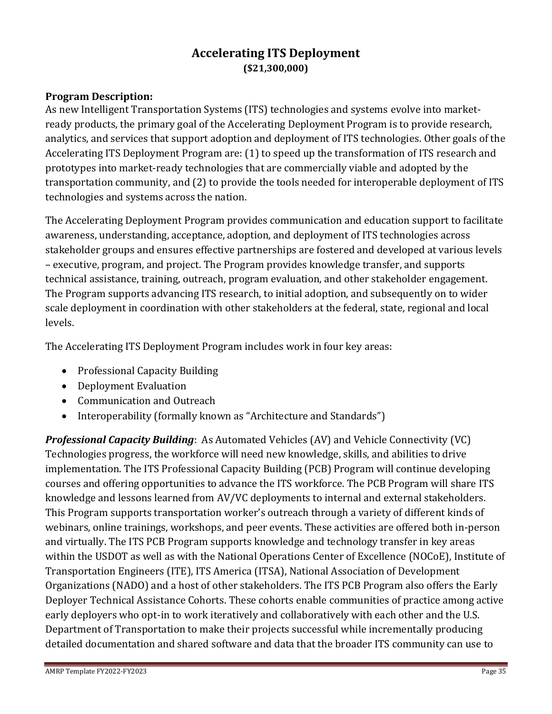## **Accelerating ITS Deployment (\$21,300,000)**

## <span id="page-34-0"></span>**Program Description:**

As new Intelligent Transportation Systems (ITS) technologies and systems evolve into marketready products, the primary goal of the Accelerating Deployment Program is to provide research, analytics, and services that support adoption and deployment of ITS technologies. Other goals of the Accelerating ITS Deployment Program are: (1) to speed up the transformation of ITS research and prototypes into market-ready technologies that are commercially viable and adopted by the transportation community, and (2) to provide the tools needed for interoperable deployment of ITS technologies and systems across the nation.

The Accelerating Deployment Program provides communication and education support to facilitate awareness, understanding, acceptance, adoption, and deployment of ITS technologies across stakeholder groups and ensures effective partnerships are fostered and developed at various levels – executive, program, and project. The Program provides knowledge transfer, and supports technical assistance, training, outreach, program evaluation, and other stakeholder engagement. The Program supports advancing ITS research, to initial adoption, and subsequently on to wider scale deployment in coordination with other stakeholders at the federal, state, regional and local levels.

The Accelerating ITS Deployment Program includes work in four key areas:

- Professional Capacity Building
- Deployment Evaluation
- Communication and Outreach
- Interoperability (formally known as "Architecture and Standards")

*Professional Capacity Building*: As Automated Vehicles (AV) and Vehicle Connectivity (VC) Technologies progress, the workforce will need new knowledge, skills, and abilities to drive implementation. The ITS Professional Capacity Building (PCB) Program will continue developing courses and offering opportunities to advance the ITS workforce. The PCB Program will share ITS knowledge and lessons learned from AV/VC deployments to internal and external stakeholders. This Program supports transportation worker's outreach through a variety of different kinds of webinars, online trainings, workshops, and peer events. These activities are offered both in-person and virtually. The ITS PCB Program supports knowledge and technology transfer in key areas within the USDOT as well as with the National Operations Center of Excellence (NOCoE), Institute of Transportation Engineers (ITE), ITS America (ITSA), National Association of Development Organizations (NADO) and a host of other stakeholders. The ITS PCB Program also offers the Early Deployer Technical Assistance Cohorts. These cohorts enable communities of practice among active early deployers who opt-in to work iteratively and collaboratively with each other and the U.S. Department of Transportation to make their projects successful while incrementally producing detailed documentation and shared software and data that the broader ITS community can use to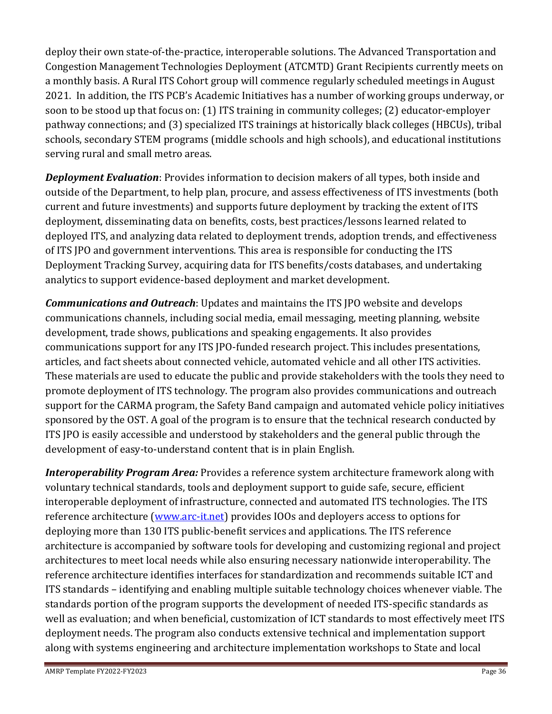deploy their own state-of-the-practice, interoperable solutions. The Advanced Transportation and Congestion Management Technologies Deployment (ATCMTD) Grant Recipients currently meets on a monthly basis. A Rural ITS Cohort group will commence regularly scheduled meetings in August 2021. In addition, the ITS PCB's Academic Initiatives has a number of working groups underway, or soon to be stood up that focus on: (1) ITS training in community colleges; (2) educator-employer pathway connections; and (3) specialized ITS trainings at historically black colleges (HBCUs), tribal schools, secondary STEM programs (middle schools and high schools), and educational institutions serving rural and small metro areas.

*Deployment Evaluation*: Provides information to decision makers of all types, both inside and outside of the Department, to help plan, procure, and assess effectiveness of ITS investments (both current and future investments) and supports future deployment by tracking the extent of ITS deployment, disseminating data on benefits, costs, best practices/lessons learned related to deployed ITS, and analyzing data related to deployment trends, adoption trends, and effectiveness of ITS JPO and government interventions. This area is responsible for conducting the ITS Deployment Tracking Survey, acquiring data for ITS benefits/costs databases, and undertaking analytics to support evidence-based deployment and market development.

*Communications and Outreach*: Updates and maintains the ITS JPO website and develops communications channels, including social media, email messaging, meeting planning, website development, trade shows, publications and speaking engagements. It also provides communications support for any ITS JPO-funded research project. This includes presentations, articles, and fact sheets about connected vehicle, automated vehicle and all other ITS activities. These materials are used to educate the public and provide stakeholders with the tools they need to promote deployment of ITS technology. The program also provides communications and outreach support for the CARMA program, the Safety Band campaign and automated vehicle policy initiatives sponsored by the OST. A goal of the program is to ensure that the technical research conducted by ITS JPO is easily accessible and understood by stakeholders and the general public through the development of easy-to-understand content that is in plain English.

*Interoperability Program Area:* Provides a reference system architecture framework along with voluntary technical standards, tools and deployment support to guide safe, secure, efficient interoperable deployment of infrastructure, connected and automated ITS technologies. The ITS reference architecture [\(www.arc-it.net\)](http://www.arc-it.net/) provides IOOs and deployers access to options for deploying more than 130 ITS public-benefit services and applications. The ITS reference architecture is accompanied by software tools for developing and customizing regional and project architectures to meet local needs while also ensuring necessary nationwide interoperability. The reference architecture identifies interfaces for standardization and recommends suitable ICT and ITS standards – identifying and enabling multiple suitable technology choices whenever viable. The standards portion of the program supports the development of needed ITS-specific standards as well as evaluation; and when beneficial, customization of ICT standards to most effectively meet ITS deployment needs. The program also conducts extensive technical and implementation support along with systems engineering and architecture implementation workshops to State and local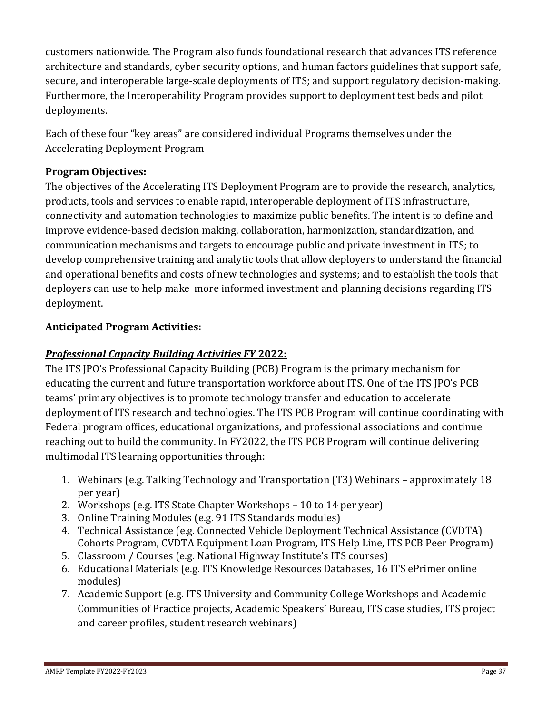customers nationwide. The Program also funds foundational research that advances ITS reference architecture and standards, cyber security options, and human factors guidelines that support safe, secure, and interoperable large-scale deployments of ITS; and support regulatory decision-making. Furthermore, the Interoperability Program provides support to deployment test beds and pilot deployments.

Each of these four "key areas" are considered individual Programs themselves under the Accelerating Deployment Program

## **Program Objectives:**

The objectives of the Accelerating ITS Deployment Program are to provide the research, analytics, products, tools and services to enable rapid, interoperable deployment of ITS infrastructure, connectivity and automation technologies to maximize public benefits. The intent is to define and improve evidence-based decision making, collaboration, harmonization, standardization, and communication mechanisms and targets to encourage public and private investment in ITS; to develop comprehensive training and analytic tools that allow deployers to understand the financial and operational benefits and costs of new technologies and systems; and to establish the tools that deployers can use to help make more informed investment and planning decisions regarding ITS deployment.

## **Anticipated Program Activities:**

## *Professional Capacity Building Activities FY* **2022:**

The ITS JPO's Professional Capacity Building (PCB) Program is the primary mechanism for educating the current and future transportation workforce about ITS. One of the ITS JPO's PCB teams' primary objectives is to promote technology transfer and education to accelerate deployment of ITS research and technologies. The ITS PCB Program will continue coordinating with Federal program offices, educational organizations, and professional associations and continue reaching out to build the community. In FY2022, the ITS PCB Program will continue delivering multimodal ITS learning opportunities through:

- 1. Webinars (e.g. Talking Technology and Transportation (T3) Webinars approximately 18 per year)
- 2. Workshops (e.g. ITS State Chapter Workshops 10 to 14 per year)
- 3. Online Training Modules (e.g. 91 ITS Standards modules)
- 4. Technical Assistance (e.g. Connected Vehicle Deployment Technical Assistance (CVDTA) Cohorts Program, CVDTA Equipment Loan Program, ITS Help Line, ITS PCB Peer Program)
- 5. Classroom / Courses (e.g. National Highway Institute's ITS courses)
- 6. Educational Materials (e.g. ITS Knowledge Resources Databases, 16 ITS ePrimer online modules)
- 7. Academic Support (e.g. ITS University and Community College Workshops and Academic Communities of Practice projects, Academic Speakers' Bureau, ITS case studies, ITS project and career profiles, student research webinars)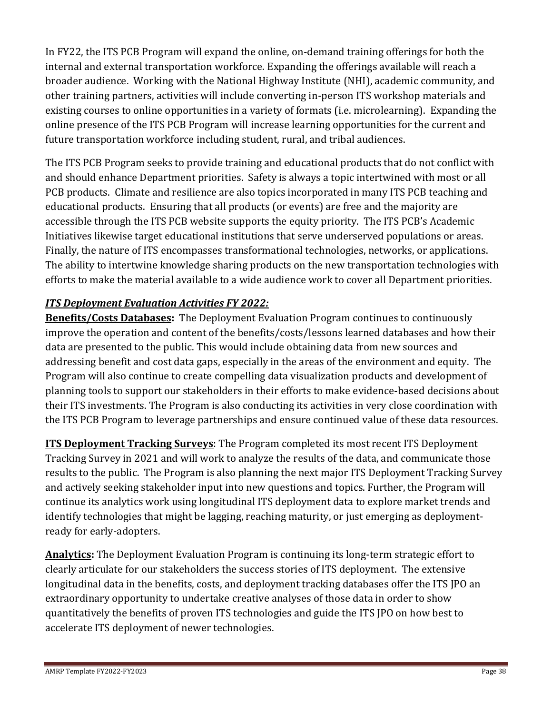In FY22, the ITS PCB Program will expand the online, on-demand training offerings for both the internal and external transportation workforce. Expanding the offerings available will reach a broader audience. Working with the National Highway Institute (NHI), academic community, and other training partners, activities will include converting in-person ITS workshop materials and existing courses to online opportunities in a variety of formats (i.e. microlearning). Expanding the online presence of the ITS PCB Program will increase learning opportunities for the current and future transportation workforce including student, rural, and tribal audiences.

The ITS PCB Program seeks to provide training and educational products that do not conflict with and should enhance Department priorities. Safety is always a topic intertwined with most or all PCB products. Climate and resilience are also topics incorporated in many ITS PCB teaching and educational products. Ensuring that all products (or events) are free and the majority are accessible through the ITS PCB website supports the equity priority. The ITS PCB's Academic Initiatives likewise target educational institutions that serve underserved populations or areas. Finally, the nature of ITS encompasses transformational technologies, networks, or applications. The ability to intertwine knowledge sharing products on the new transportation technologies with efforts to make the material available to a wide audience work to cover all Department priorities.

## *ITS Deployment Evaluation Activities FY 2022:*

**Benefits/Costs Databases:** The Deployment Evaluation Program continues to continuously improve the operation and content of the benefits/costs/lessons learned databases and how their data are presented to the public. This would include obtaining data from new sources and addressing benefit and cost data gaps, especially in the areas of the environment and equity. The Program will also continue to create compelling data visualization products and development of planning tools to support our stakeholders in their efforts to make evidence-based decisions about their ITS investments. The Program is also conducting its activities in very close coordination with the ITS PCB Program to leverage partnerships and ensure continued value of these data resources.

**ITS Deployment Tracking Surveys**: The Program completed its most recent ITS Deployment Tracking Survey in 2021 and will work to analyze the results of the data, and communicate those results to the public. The Program is also planning the next major ITS Deployment Tracking Survey and actively seeking stakeholder input into new questions and topics. Further, the Program will continue its analytics work using longitudinal ITS deployment data to explore market trends and identify technologies that might be lagging, reaching maturity, or just emerging as deploymentready for early-adopters.

**Analytics:** The Deployment Evaluation Program is continuing its long-term strategic effort to clearly articulate for our stakeholders the success stories of ITS deployment. The extensive longitudinal data in the benefits, costs, and deployment tracking databases offer the ITS JPO an extraordinary opportunity to undertake creative analyses of those data in order to show quantitatively the benefits of proven ITS technologies and guide the ITS JPO on how best to accelerate ITS deployment of newer technologies.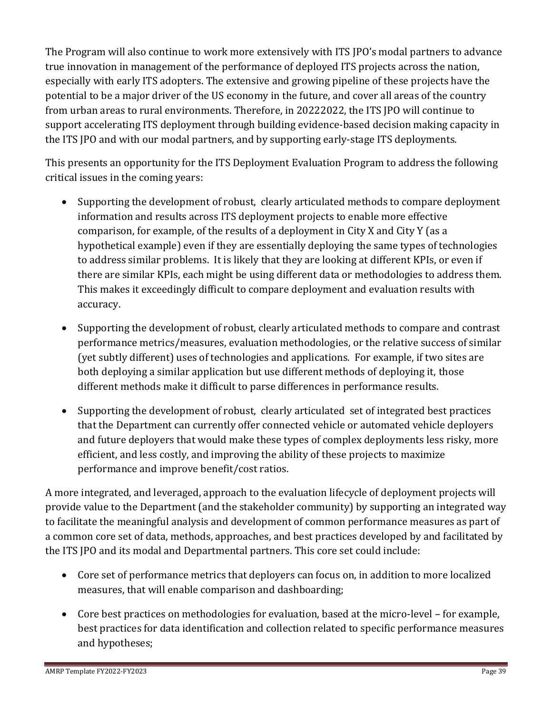The Program will also continue to work more extensively with ITS JPO's modal partners to advance true innovation in management of the performance of deployed ITS projects across the nation, especially with early ITS adopters. The extensive and growing pipeline of these projects have the potential to be a major driver of the US economy in the future, and cover all areas of the country from urban areas to rural environments. Therefore, in 20222022, the ITS JPO will continue to support accelerating ITS deployment through building evidence-based decision making capacity in the ITS JPO and with our modal partners, and by supporting early-stage ITS deployments.

This presents an opportunity for the ITS Deployment Evaluation Program to address the following critical issues in the coming years:

- Supporting the development of robust, clearly articulated methods to compare deployment information and results across ITS deployment projects to enable more effective comparison, for example, of the results of a deployment in City X and City Y (as a hypothetical example) even if they are essentially deploying the same types of technologies to address similar problems. It is likely that they are looking at different KPIs, or even if there are similar KPIs, each might be using different data or methodologies to address them. This makes it exceedingly difficult to compare deployment and evaluation results with accuracy.
- Supporting the development of robust, clearly articulated methods to compare and contrast performance metrics/measures, evaluation methodologies, or the relative success of similar (yet subtly different) uses of technologies and applications. For example, if two sites are both deploying a similar application but use different methods of deploying it, those different methods make it difficult to parse differences in performance results.
- Supporting the development of robust, clearly articulated set of integrated best practices that the Department can currently offer connected vehicle or automated vehicle deployers and future deployers that would make these types of complex deployments less risky, more efficient, and less costly, and improving the ability of these projects to maximize performance and improve benefit/cost ratios.

A more integrated, and leveraged, approach to the evaluation lifecycle of deployment projects will provide value to the Department (and the stakeholder community) by supporting an integrated way to facilitate the meaningful analysis and development of common performance measures as part of a common core set of data, methods, approaches, and best practices developed by and facilitated by the ITS JPO and its modal and Departmental partners. This core set could include:

- Core set of performance metrics that deployers can focus on, in addition to more localized measures, that will enable comparison and dashboarding;
- Core best practices on methodologies for evaluation, based at the micro-level for example, best practices for data identification and collection related to specific performance measures and hypotheses;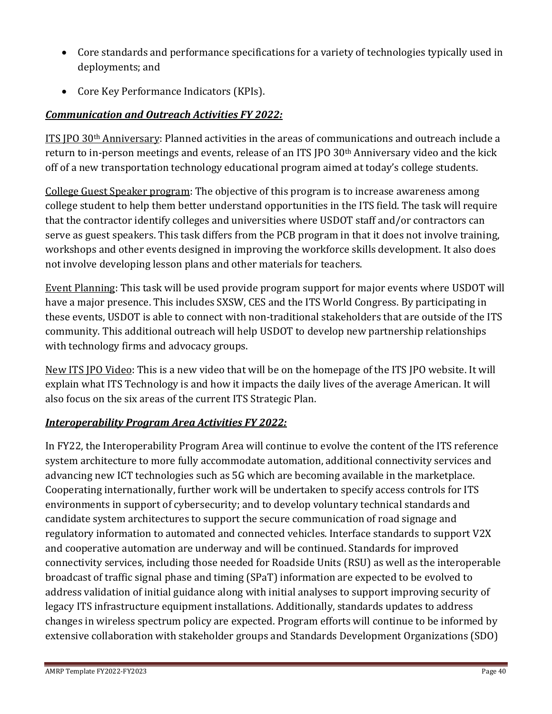- Core standards and performance specifications for a variety of technologies typically used in deployments; and
- Core Key Performance Indicators (KPIs).

## *Communication and Outreach Activities FY 2022:*

ITS IPO 30<sup>th</sup> Anniversary: Planned activities in the areas of communications and outreach include a return to in-person meetings and events, release of an ITS JPO 30th Anniversary video and the kick off of a new transportation technology educational program aimed at today's college students.

College Guest Speaker program: The objective of this program is to increase awareness among college student to help them better understand opportunities in the ITS field. The task will require that the contractor identify colleges and universities where USDOT staff and/or contractors can serve as guest speakers. This task differs from the PCB program in that it does not involve training, workshops and other events designed in improving the workforce skills development. It also does not involve developing lesson plans and other materials for teachers.

Event Planning: This task will be used provide program support for major events where USDOT will have a major presence. This includes SXSW, CES and the ITS World Congress. By participating in these events, USDOT is able to connect with non-traditional stakeholders that are outside of the ITS community. This additional outreach will help USDOT to develop new partnership relationships with technology firms and advocacy groups.

New ITS JPO Video: This is a new video that will be on the homepage of the ITS JPO website. It will explain what ITS Technology is and how it impacts the daily lives of the average American. It will also focus on the six areas of the current ITS Strategic Plan.

## *Interoperability Program Area Activities FY 2022:*

In FY22, the Interoperability Program Area will continue to evolve the content of the ITS reference system architecture to more fully accommodate automation, additional connectivity services and advancing new ICT technologies such as 5G which are becoming available in the marketplace. Cooperating internationally, further work will be undertaken to specify access controls for ITS environments in support of cybersecurity; and to develop voluntary technical standards and candidate system architectures to support the secure communication of road signage and regulatory information to automated and connected vehicles. Interface standards to support V2X and cooperative automation are underway and will be continued. Standards for improved connectivity services, including those needed for Roadside Units (RSU) as well as the interoperable broadcast of traffic signal phase and timing (SPaT) information are expected to be evolved to address validation of initial guidance along with initial analyses to support improving security of legacy ITS infrastructure equipment installations. Additionally, standards updates to address changes in wireless spectrum policy are expected. Program efforts will continue to be informed by extensive collaboration with stakeholder groups and Standards Development Organizations (SDO)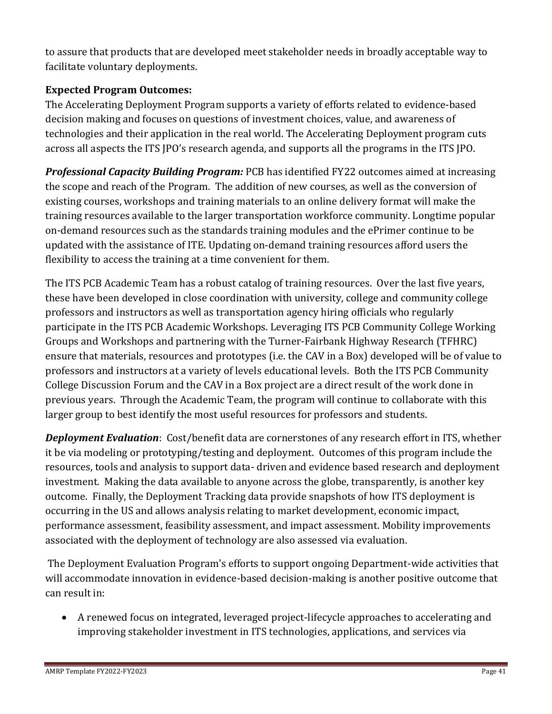to assure that products that are developed meet stakeholder needs in broadly acceptable way to facilitate voluntary deployments.

## **Expected Program Outcomes:**

The Accelerating Deployment Program supports a variety of efforts related to evidence-based decision making and focuses on questions of investment choices, value, and awareness of technologies and their application in the real world. The Accelerating Deployment program cuts across all aspects the ITS JPO's research agenda, and supports all the programs in the ITS JPO.

*Professional Capacity Building Program:* PCB has identified FY22 outcomes aimed at increasing the scope and reach of the Program. The addition of new courses, as well as the conversion of existing courses, workshops and training materials to an online delivery format will make the training resources available to the larger transportation workforce community. Longtime popular on-demand resources such as the standards training modules and the ePrimer continue to be updated with the assistance of ITE. Updating on-demand training resources afford users the flexibility to access the training at a time convenient for them.

The ITS PCB Academic Team has a robust catalog of training resources. Over the last five years, these have been developed in close coordination with university, college and community college professors and instructors as well as transportation agency hiring officials who regularly participate in the ITS PCB Academic Workshops. Leveraging ITS PCB Community College Working Groups and Workshops and partnering with the Turner-Fairbank Highway Research (TFHRC) ensure that materials, resources and prototypes (i.e. the CAV in a Box) developed will be of value to professors and instructors at a variety of levels educational levels. Both the ITS PCB Community College Discussion Forum and the CAV in a Box project are a direct result of the work done in previous years. Through the Academic Team, the program will continue to collaborate with this larger group to best identify the most useful resources for professors and students.

*Deployment Evaluation*: Cost/benefit data are cornerstones of any research effort in ITS, whether it be via modeling or prototyping/testing and deployment. Outcomes of this program include the resources, tools and analysis to support data- driven and evidence based research and deployment investment. Making the data available to anyone across the globe, transparently, is another key outcome. Finally, the Deployment Tracking data provide snapshots of how ITS deployment is occurring in the US and allows analysis relating to market development, economic impact, performance assessment, feasibility assessment, and impact assessment. Mobility improvements associated with the deployment of technology are also assessed via evaluation.

The Deployment Evaluation Program's efforts to support ongoing Department-wide activities that will accommodate innovation in evidence-based decision-making is another positive outcome that can result in:

• A renewed focus on integrated, leveraged project-lifecycle approaches to accelerating and improving stakeholder investment in ITS technologies, applications, and services via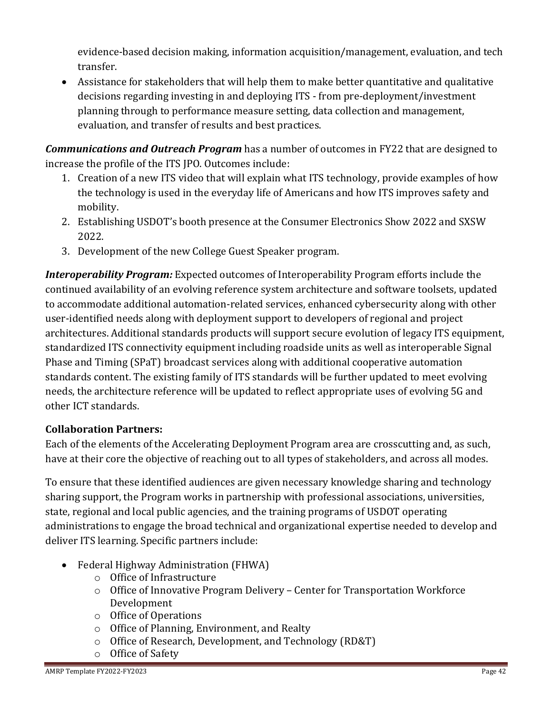evidence-based decision making, information acquisition/management, evaluation, and tech transfer.

• Assistance for stakeholders that will help them to make better quantitative and qualitative decisions regarding investing in and deploying ITS - from pre-deployment/investment planning through to performance measure setting, data collection and management, evaluation, and transfer of results and best practices.

*Communications and Outreach Program* has a number of outcomes in FY22 that are designed to increase the profile of the ITS JPO. Outcomes include:

- 1. Creation of a new ITS video that will explain what ITS technology, provide examples of how the technology is used in the everyday life of Americans and how ITS improves safety and mobility.
- 2. Establishing USDOT's booth presence at the Consumer Electronics Show 2022 and SXSW 2022.
- 3. Development of the new College Guest Speaker program.

*Interoperability Program:* Expected outcomes of Interoperability Program efforts include the continued availability of an evolving reference system architecture and software toolsets, updated to accommodate additional automation-related services, enhanced cybersecurity along with other user-identified needs along with deployment support to developers of regional and project architectures. Additional standards products will support secure evolution of legacy ITS equipment, standardized ITS connectivity equipment including roadside units as well as interoperable Signal Phase and Timing (SPaT) broadcast services along with additional cooperative automation standards content. The existing family of ITS standards will be further updated to meet evolving needs, the architecture reference will be updated to reflect appropriate uses of evolving 5G and other ICT standards.

## **Collaboration Partners:**

Each of the elements of the Accelerating Deployment Program area are crosscutting and, as such, have at their core the objective of reaching out to all types of stakeholders, and across all modes.

To ensure that these identified audiences are given necessary knowledge sharing and technology sharing support, the Program works in partnership with professional associations, universities, state, regional and local public agencies, and the training programs of USDOT operating administrations to engage the broad technical and organizational expertise needed to develop and deliver ITS learning. Specific partners include:

- Federal Highway Administration (FHWA)
	- o [Office of Infrastructure](https://www.fhwa.dot.gov/infrastructure/)
	- o Office of Innovative Program Delivery Center for Transportation Workforce Development
	- o [Office of Operations](http://ops.fhwa.dot.gov/int_its_deployment/index.htm)
	- o [Office of Planning, Environment, and Realty](https://www.fhwa.dot.gov/hep/)
	- o [Office of Research, Development, and Technology](https://www.fhwa.dot.gov/research/tfhrc/offices/) (RD&T)
	- o [Office of Safety](https://safety.fhwa.dot.gov/)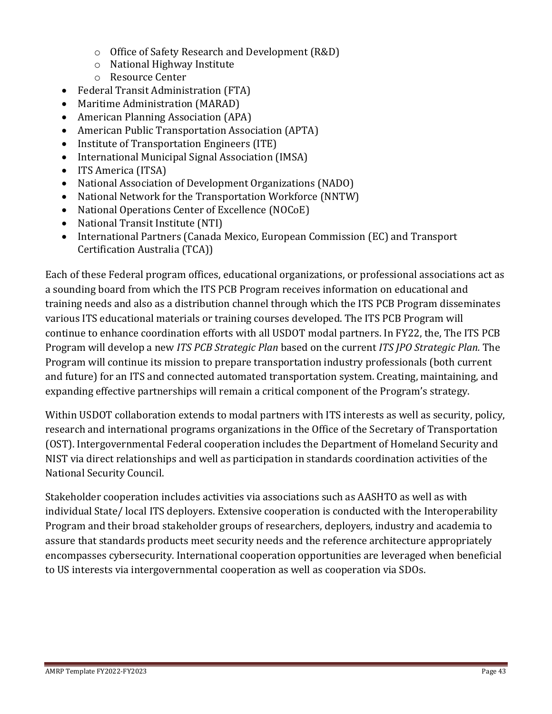- o [Office of Safety Research and Development](https://www.fhwa.dot.gov/research/tfhrc/offices/safety/) (R&D)
- o [National Highway Institute](https://www.nhi.fhwa.dot.gov/home.aspx)
- o [Resource Center](https://www.fhwa.dot.gov/resourcecenter/)
- [Federal Transit Administration](https://www.transit.dot.gov/) (FTA)
- [Maritime Administration](https://www.marad.dot.gov/) (MARAD)
- American Planning Association (APA)
- [American Public Transportation Association](https://www.pcb.its.dot.gov/PageRedirect.aspx?RedirectedURL=http://www.apta.com/Pages/default.aspx) (APTA)
- [Institute of Transportation Engineers](https://www.pcb.its.dot.gov/PageRedirect.aspx?RedirectedURL=http://www.ite.org/) (ITE)
- [International Municipal Signal Association](https://www.pcb.its.dot.gov/PageRedirect.aspx?RedirectedURL=http://www.imsasafety.org/IMSA/Default.aspx) (IMSA)
- [ITS America](https://www.pcb.its.dot.gov/PageRedirect.aspx?RedirectedURL=http://www.itsa.org/knowledgecenter) (ITSA)
- National Association of Development Organizations (NADO)
- [National Network for the Transportation Workforce](https://www.pcb.its.dot.gov/PageRedirect.aspx?RedirectedURL=http://nntw.org/) (NNTW)
- [National Operations Center of Excellence](https://www.pcb.its.dot.gov/PageRedirect.aspx?RedirectedURL=http://www.transportationops.org/) (NOCoE)
- [National Transit Institute](https://www.pcb.its.dot.gov/PageRedirect.aspx?RedirectedURL=http://www.ntionline.com/courses/list.php?program_id=3) (NTI)
- International Partners (Canada Mexico, European Commission (EC) and Transport Certification Australia (TCA))

Each of these Federal program offices, educational organizations, or professional associations act as a sounding board from which the ITS PCB Program receives information on educational and training needs and also as a distribution channel through which the ITS PCB Program disseminates various ITS educational materials or training courses developed. The ITS PCB Program will continue to enhance coordination efforts with all USDOT modal partners. In FY22, the, The ITS PCB Program will develop a new *ITS PCB Strategic Plan* based on the current *ITS JPO Strategic Plan.* The Program will continue its mission to prepare transportation industry professionals (both current and future) for an ITS and connected automated transportation system. Creating, maintaining, and expanding effective partnerships will remain a critical component of the Program's strategy.

Within USDOT collaboration extends to modal partners with ITS interests as well as security, policy, research and international programs organizations in the Office of the Secretary of Transportation (OST). Intergovernmental Federal cooperation includes the Department of Homeland Security and NIST via direct relationships and well as participation in standards coordination activities of the National Security Council.

Stakeholder cooperation includes activities via associations such as AASHTO as well as with individual State/ local ITS deployers. Extensive cooperation is conducted with the Interoperability Program and their broad stakeholder groups of researchers, deployers, industry and academia to assure that standards products meet security needs and the reference architecture appropriately encompasses cybersecurity. International cooperation opportunities are leveraged when beneficial to US interests via intergovernmental cooperation as well as cooperation via SDOs.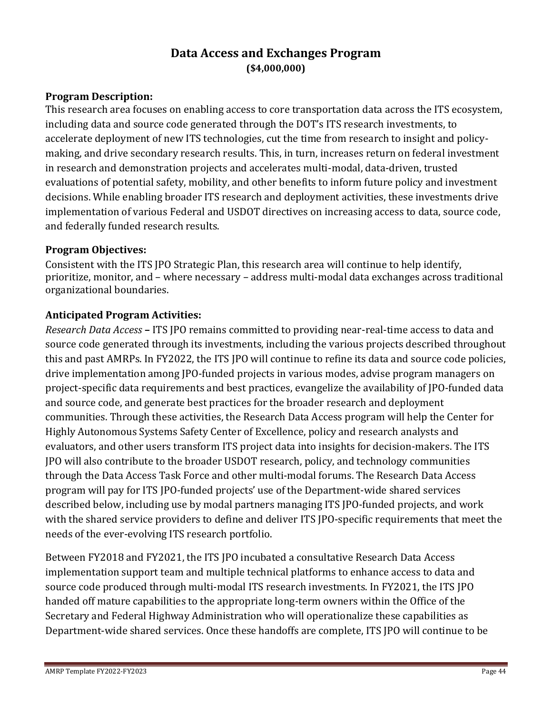## **Data Access and Exchanges Program (\$4,000,000)**

### <span id="page-43-0"></span>**Program Description:**

This research area focuses on enabling access to core transportation data across the ITS ecosystem, including data and source code generated through the DOT's ITS research investments, to accelerate deployment of new ITS technologies, cut the time from research to insight and policymaking, and drive secondary research results. This, in turn, increases return on federal investment in research and demonstration projects and accelerates multi-modal, data-driven, trusted evaluations of potential safety, mobility, and other benefits to inform future policy and investment decisions. While enabling broader ITS research and deployment activities, these investments drive implementation of various Federal and USDOT directives on increasing access to data, source code, and federally funded research results.

### **Program Objectives:**

Consistent with the ITS JPO Strategic Plan, this research area will continue to help identify, prioritize, monitor, and – where necessary – address multi-modal data exchanges across traditional organizational boundaries.

### **Anticipated Program Activities:**

*Research Data Access* **–** ITS JPO remains committed to providing near-real-time access to data and source code generated through its investments, including the various projects described throughout this and past AMRPs. In FY2022, the ITS JPO will continue to refine its data and source code policies, drive implementation among JPO-funded projects in various modes, advise program managers on project-specific data requirements and best practices, evangelize the availability of JPO-funded data and source code, and generate best practices for the broader research and deployment communities. Through these activities, the Research Data Access program will help the Center for Highly Autonomous Systems Safety Center of Excellence, policy and research analysts and evaluators, and other users transform ITS project data into insights for decision-makers. The ITS JPO will also contribute to the broader USDOT research, policy, and technology communities through the Data Access Task Force and other multi-modal forums. The Research Data Access program will pay for ITS JPO-funded projects' use of the Department-wide shared services described below, including use by modal partners managing ITS JPO-funded projects, and work with the shared service providers to define and deliver ITS JPO-specific requirements that meet the needs of the ever-evolving ITS research portfolio.

Between FY2018 and FY2021, the ITS JPO incubated a consultative Research Data Access implementation support team and multiple technical platforms to enhance access to data and source code produced through multi-modal ITS research investments. In FY2021, the ITS JPO handed off mature capabilities to the appropriate long-term owners within the Office of the Secretary and Federal Highway Administration who will operationalize these capabilities as Department-wide shared services. Once these handoffs are complete, ITS JPO will continue to be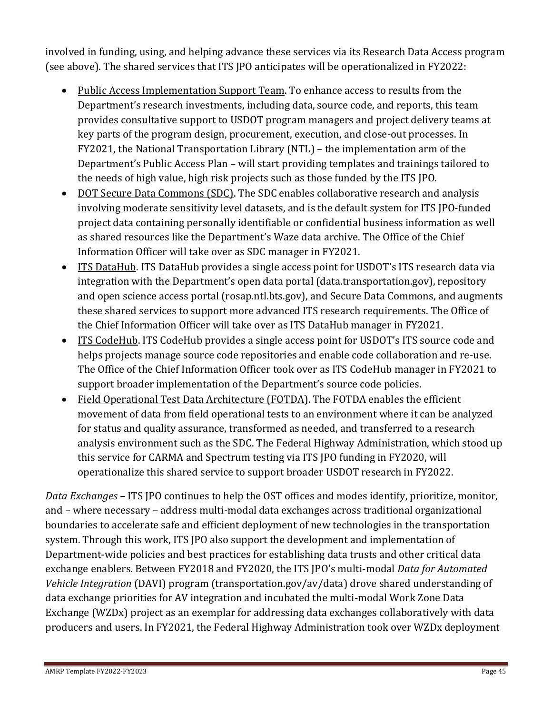involved in funding, using, and helping advance these services via its Research Data Access program (see above). The shared services that ITS JPO anticipates will be operationalized in FY2022:

- Public Access Implementation Support Team. To enhance access to results from the Department's research investments, including data, source code, and reports, this team provides consultative support to USDOT program managers and project delivery teams at key parts of the program design, procurement, execution, and close-out processes. In FY2021, the National Transportation Library (NTL) – the implementation arm of the Department's Public Access Plan – will start providing templates and trainings tailored to the needs of high value, high risk projects such as those funded by the ITS JPO.
- DOT Secure Data Commons (SDC). The SDC enables collaborative research and analysis involving moderate sensitivity level datasets, and is the default system for ITS JPO-funded project data containing personally identifiable or confidential business information as well as shared resources like the Department's Waze data archive. The Office of the Chief Information Officer will take over as SDC manager in FY2021.
- ITS DataHub. ITS DataHub provides a single access point for USDOT's ITS research data via integration with the Department's open data portal (data.transportation.gov), repository and open science access portal (rosap.ntl.bts.gov), and Secure Data Commons, and augments these shared services to support more advanced ITS research requirements. The Office of the Chief Information Officer will take over as ITS DataHub manager in FY2021.
- ITS CodeHub. ITS CodeHub provides a single access point for USDOT's ITS source code and helps projects manage source code repositories and enable code collaboration and re-use. The Office of the Chief Information Officer took over as ITS CodeHub manager in FY2021 to support broader implementation of the Department's source code policies.
- Field Operational Test Data Architecture (FOTDA). The FOTDA enables the efficient movement of data from field operational tests to an environment where it can be analyzed for status and quality assurance, transformed as needed, and transferred to a research analysis environment such as the SDC. The Federal Highway Administration, which stood up this service for CARMA and Spectrum testing via ITS JPO funding in FY2020, will operationalize this shared service to support broader USDOT research in FY2022.

*Data Exchanges* **–** ITS JPO continues to help the OST offices and modes identify, prioritize, monitor, and – where necessary – address multi-modal data exchanges across traditional organizational boundaries to accelerate safe and efficient deployment of new technologies in the transportation system. Through this work, ITS JPO also support the development and implementation of Department-wide policies and best practices for establishing data trusts and other critical data exchange enablers. Between FY2018 and FY2020, the ITS JPO's multi-modal *Data for Automated Vehicle Integration* (DAVI) program (transportation.gov/av/data) drove shared understanding of data exchange priorities for AV integration and incubated the multi-modal Work Zone Data Exchange (WZDx) project as an exemplar for addressing data exchanges collaboratively with data producers and users. In FY2021, the Federal Highway Administration took over WZDx deployment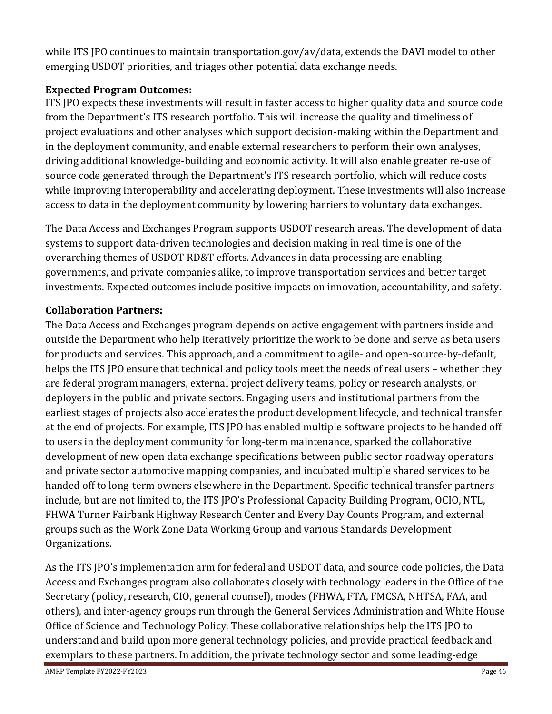while ITS JPO continues to maintain transportation.gov/av/data, extends the DAVI model to other emerging USDOT priorities, and triages other potential data exchange needs.

## **Expected Program Outcomes:**

ITS JPO expects these investments will result in faster access to higher quality data and source code from the Department's ITS research portfolio. This will increase the quality and timeliness of project evaluations and other analyses which support decision-making within the Department and in the deployment community, and enable external researchers to perform their own analyses, driving additional knowledge-building and economic activity. It will also enable greater re-use of source code generated through the Department's ITS research portfolio, which will reduce costs while improving interoperability and accelerating deployment. These investments will also increase access to data in the deployment community by lowering barriers to voluntary data exchanges.

The Data Access and Exchanges Program supports USDOT research areas. The development of data systems to support data-driven technologies and decision making in real time is one of the overarching themes of USDOT RD&T efforts. Advances in data processing are enabling governments, and private companies alike, to improve transportation services and better target investments. Expected outcomes include positive impacts on innovation, accountability, and safety.

## **Collaboration Partners:**

The Data Access and Exchanges program depends on active engagement with partners inside and outside the Department who help iteratively prioritize the work to be done and serve as beta users for products and services. This approach, and a commitment to agile- and open-source-by-default, helps the ITS JPO ensure that technical and policy tools meet the needs of real users – whether they are federal program managers, external project delivery teams, policy or research analysts, or deployers in the public and private sectors. Engaging users and institutional partners from the earliest stages of projects also accelerates the product development lifecycle, and technical transfer at the end of projects. For example, ITS JPO has enabled multiple software projects to be handed off to users in the deployment community for long-term maintenance, sparked the collaborative development of new open data exchange specifications between public sector roadway operators and private sector automotive mapping companies, and incubated multiple shared services to be handed off to long-term owners elsewhere in the Department. Specific technical transfer partners include, but are not limited to, the ITS JPO's Professional Capacity Building Program, OCIO, NTL, FHWA Turner Fairbank Highway Research Center and Every Day Counts Program, and external groups such as the Work Zone Data Working Group and various Standards Development Organizations.

As the ITS JPO's implementation arm for federal and USDOT data, and source code policies, the Data Access and Exchanges program also collaborates closely with technology leaders in the Office of the Secretary (policy, research, CIO, general counsel), modes (FHWA, FTA, FMCSA, NHTSA, FAA, and others), and inter-agency groups run through the General Services Administration and White House Office of Science and Technology Policy. These collaborative relationships help the ITS JPO to understand and build upon more general technology policies, and provide practical feedback and exemplars to these partners. In addition, the private technology sector and some leading-edge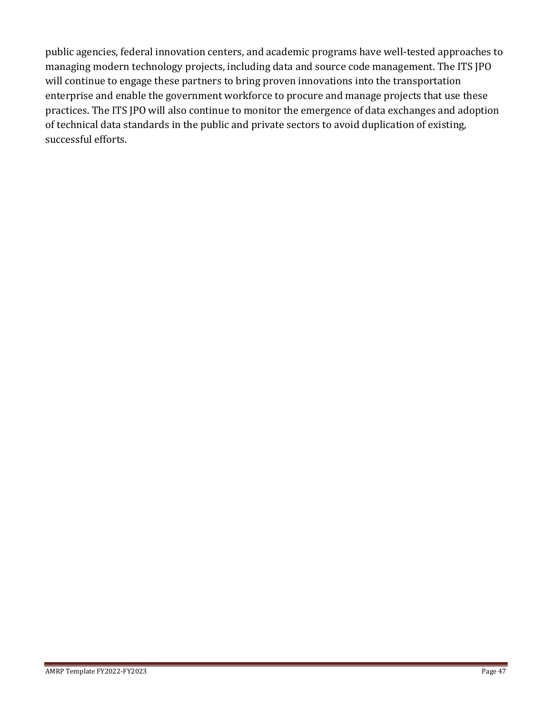public agencies, federal innovation centers, and academic programs have well-tested approaches to managing modern technology projects, including data and source code management. The ITS JPO will continue to engage these partners to bring proven innovations into the transportation enterprise and enable the government workforce to procure and manage projects that use these practices. The ITS JPO will also continue to monitor the emergence of data exchanges and adoption of technical data standards in the public and private sectors to avoid duplication of existing, successful efforts.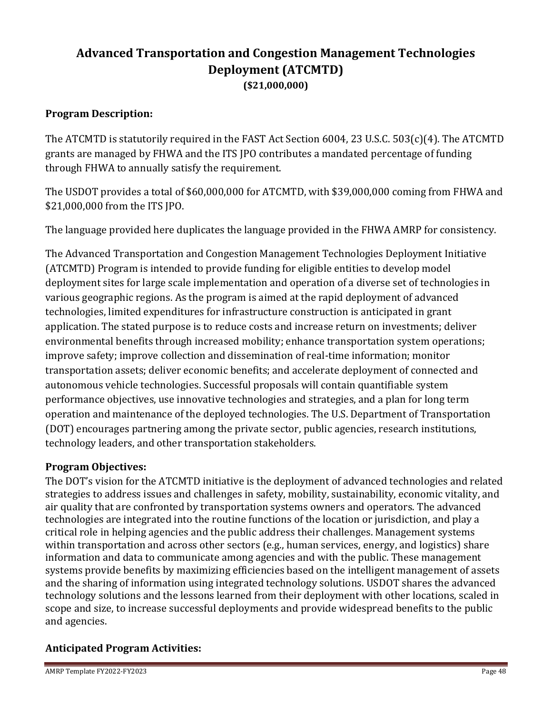# <span id="page-47-0"></span>**Advanced Transportation and Congestion Management Technologies Deployment (ATCMTD) (\$21,000,000)**

### **Program Description:**

The ATCMTD is statutorily required in the FAST Act Section 6004, 23 U.S.C. 503(c)(4). The ATCMTD grants are managed by FHWA and the ITS JPO contributes a mandated percentage of funding through FHWA to annually satisfy the requirement.

The USDOT provides a total of \$60,000,000 for ATCMTD, with \$39,000,000 coming from FHWA and \$21,000,000 from the ITS JPO.

The language provided here duplicates the language provided in the FHWA AMRP for consistency.

The Advanced Transportation and Congestion Management Technologies Deployment Initiative (ATCMTD) Program is intended to provide funding for eligible entities to develop model deployment sites for large scale implementation and operation of a diverse set of technologies in various geographic regions. As the program is aimed at the rapid deployment of advanced technologies, limited expenditures for infrastructure construction is anticipated in grant application. The stated purpose is to reduce costs and increase return on investments; deliver environmental benefits through increased mobility; enhance transportation system operations; improve safety; improve collection and dissemination of real-time information; monitor transportation assets; deliver economic benefits; and accelerate deployment of connected and autonomous vehicle technologies. Successful proposals will contain quantifiable system performance objectives, use innovative technologies and strategies, and a plan for long term operation and maintenance of the deployed technologies. The U.S. Department of Transportation (DOT) encourages partnering among the private sector, public agencies, research institutions, technology leaders, and other transportation stakeholders.

#### **Program Objectives:**

The DOT's vision for the ATCMTD initiative is the deployment of advanced technologies and related strategies to address issues and challenges in safety, mobility, sustainability, economic vitality, and air quality that are confronted by transportation systems owners and operators. The advanced technologies are integrated into the routine functions of the location or jurisdiction, and play a critical role in helping agencies and the public address their challenges. Management systems within transportation and across other sectors (e.g., human services, energy, and logistics) share information and data to communicate among agencies and with the public. These management systems provide benefits by maximizing efficiencies based on the intelligent management of assets and the sharing of information using integrated technology solutions. USDOT shares the advanced technology solutions and the lessons learned from their deployment with other locations, scaled in scope and size, to increase successful deployments and provide widespread benefits to the public and agencies.

### **Anticipated Program Activities:**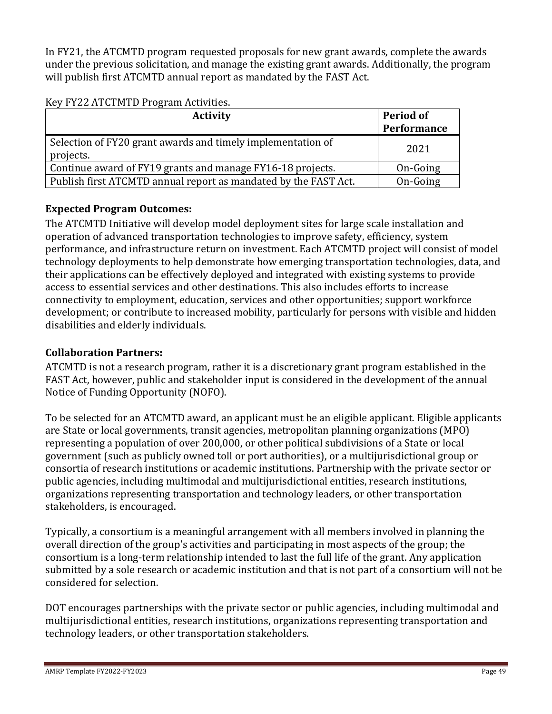In FY21, the ATCMTD program requested proposals for new grant awards, complete the awards under the previous solicitation, and manage the existing grant awards. Additionally, the program will publish first ATCMTD annual report as mandated by the FAST Act.

#### Key FY22 ATCTMTD Program Activities.

| <b>Activity</b>                                                          | <b>Period of</b><br>Performance |
|--------------------------------------------------------------------------|---------------------------------|
| Selection of FY20 grant awards and timely implementation of<br>projects. | 2021                            |
| Continue award of FY19 grants and manage FY16-18 projects.               | On-Going                        |
| Publish first ATCMTD annual report as mandated by the FAST Act.          | On-Going                        |

### **Expected Program Outcomes:**

The ATCMTD Initiative will develop model deployment sites for large scale installation and operation of advanced transportation technologies to improve safety, efficiency, system performance, and infrastructure return on investment. Each ATCMTD project will consist of model technology deployments to help demonstrate how emerging transportation technologies, data, and their applications can be effectively deployed and integrated with existing systems to provide access to essential services and other destinations. This also includes efforts to increase connectivity to employment, education, services and other opportunities; support workforce development; or contribute to increased mobility, particularly for persons with visible and hidden disabilities and elderly individuals.

## **Collaboration Partners:**

ATCMTD is not a research program, rather it is a discretionary grant program established in the FAST Act, however, public and stakeholder input is considered in the development of the annual Notice of Funding Opportunity (NOFO).

To be selected for an ATCMTD award, an applicant must be an eligible applicant. Eligible applicants are State or local governments, transit agencies, metropolitan planning organizations (MPO) representing a population of over 200,000, or other political subdivisions of a State or local government (such as publicly owned toll or port authorities), or a multijurisdictional group or consortia of research institutions or academic institutions. Partnership with the private sector or public agencies, including multimodal and multijurisdictional entities, research institutions, organizations representing transportation and technology leaders, or other transportation stakeholders, is encouraged.

Typically, a consortium is a meaningful arrangement with all members involved in planning the overall direction of the group's activities and participating in most aspects of the group; the consortium is a long-term relationship intended to last the full life of the grant. Any application submitted by a sole research or academic institution and that is not part of a consortium will not be considered for selection.

DOT encourages partnerships with the private sector or public agencies, including multimodal and multijurisdictional entities, research institutions, organizations representing transportation and technology leaders, or other transportation stakeholders.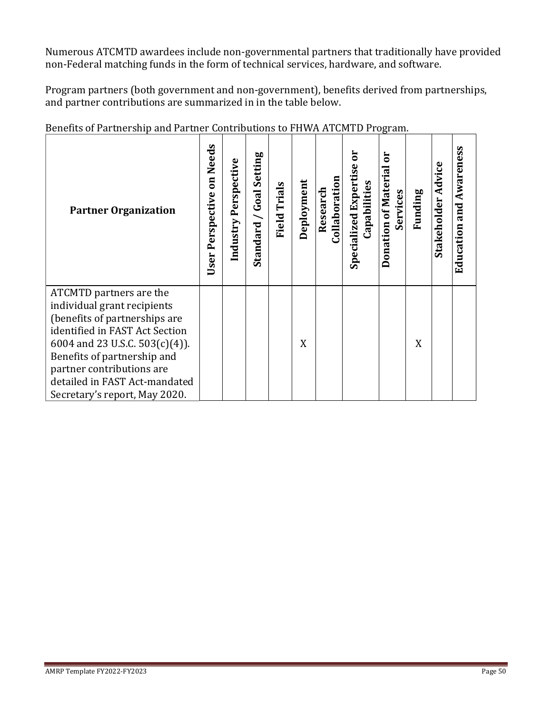Numerous ATCMTD awardees include non-governmental partners that traditionally have provided non-Federal matching funds in the form of technical services, hardware, and software.

Program partners (both government and non-government), benefits derived from partnerships, and partner contributions are summarized in in the table below.

<span id="page-49-0"></span>

| <b>Partner Organization</b>                                                                                                                                                                                                                                                                  | on Needs<br>Perspective<br>User | Perspective<br>Industry | Setting<br>Goal<br>$\overline{\phantom{0}}$<br>Standard | <b>Field Trials</b> | Deployment | Collaboration<br>Research | <b>Specialized Expertise</b><br>Capabilities | ă<br>Donation of Materia<br>Services | Funding | Stakeholder Advice | <b>Education and Awareness</b> |
|----------------------------------------------------------------------------------------------------------------------------------------------------------------------------------------------------------------------------------------------------------------------------------------------|---------------------------------|-------------------------|---------------------------------------------------------|---------------------|------------|---------------------------|----------------------------------------------|--------------------------------------|---------|--------------------|--------------------------------|
| ATCMTD partners are the<br>individual grant recipients<br>(benefits of partnerships are<br>identified in FAST Act Section<br>6004 and 23 U.S.C. $503(c)(4)$ ).<br>Benefits of partnership and<br>partner contributions are<br>detailed in FAST Act-mandated<br>Secretary's report, May 2020. |                                 |                         |                                                         |                     | X          |                           |                                              |                                      | X       |                    |                                |

Benefits of Partnership and Partner Contributions to FHWA ATCMTD Program.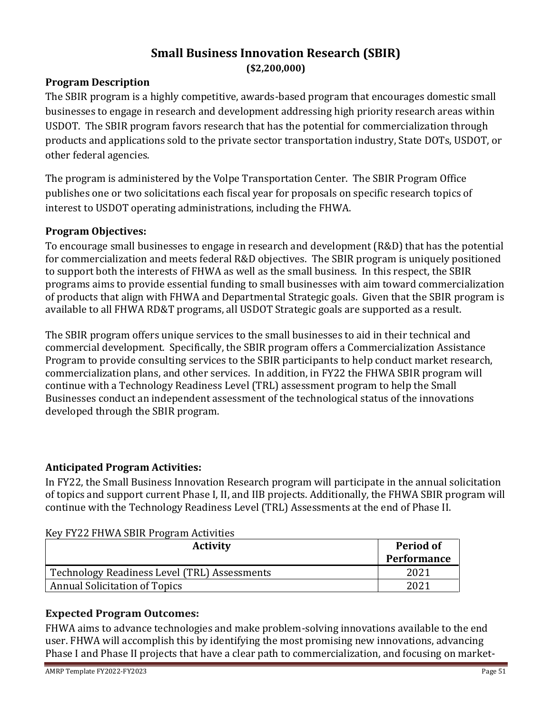## **Small Business Innovation Research (SBIR) (\$2,200,000)**

#### **Program Description**

The SBIR program is a highly competitive, awards-based program that encourages domestic small businesses to engage in research and development addressing high priority research areas within USDOT. The SBIR program favors research that has the potential for commercialization through products and applications sold to the private sector transportation industry, State DOTs, USDOT, or other federal agencies.

The program is administered by the Volpe Transportation Center. The SBIR Program Office publishes one or two solicitations each fiscal year for proposals on specific research topics of interest to USDOT operating administrations, including the FHWA.

#### **Program Objectives:**

To encourage small businesses to engage in research and development (R&D) that has the potential for commercialization and meets federal R&D objectives. The SBIR program is uniquely positioned to support both the interests of FHWA as well as the small business. In this respect, the SBIR programs aims to provide essential funding to small businesses with aim toward commercialization of products that align with FHWA and Departmental Strategic goals. Given that the SBIR program is available to all FHWA RD&T programs, all USDOT Strategic goals are supported as a result.

The SBIR program offers unique services to the small businesses to aid in their technical and commercial development. Specifically, the SBIR program offers a Commercialization Assistance Program to provide consulting services to the SBIR participants to help conduct market research, commercialization plans, and other services. In addition, in FY22 the FHWA SBIR program will continue with a Technology Readiness Level (TRL) assessment program to help the Small Businesses conduct an independent assessment of the technological status of the innovations developed through the SBIR program.

#### **Anticipated Program Activities:**

In FY22, the Small Business Innovation Research program will participate in the annual solicitation of topics and support current Phase I, II, and IIB projects. Additionally, the FHWA SBIR program will continue with the Technology Readiness Level (TRL) Assessments at the end of Phase II.

| <b>Activity</b>                              | Period of<br>Performance |
|----------------------------------------------|--------------------------|
| Technology Readiness Level (TRL) Assessments | 2021                     |
| <b>Annual Solicitation of Topics</b>         | 2021                     |

#### Key FY22 FHWA SBIR Program Activities

### **Expected Program Outcomes:**

FHWA aims to advance technologies and make problem-solving innovations available to the end user. FHWA will accomplish this by identifying the most promising new innovations, advancing Phase I and Phase II projects that have a clear path to commercialization, and focusing on market-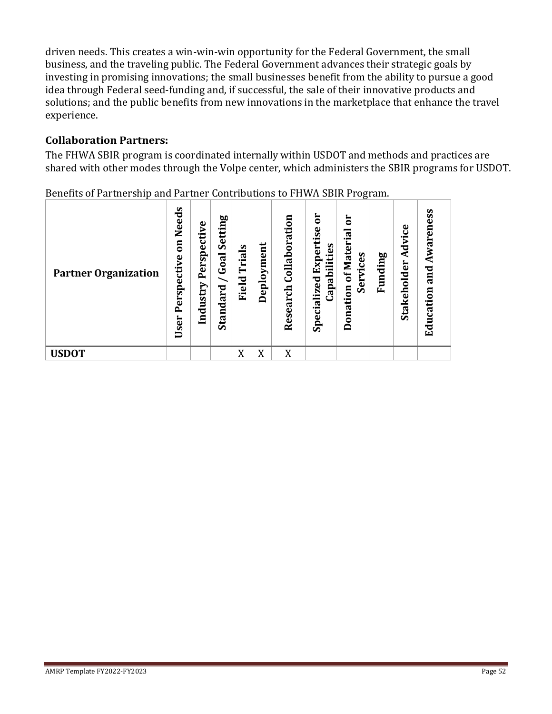driven needs. This creates a win-win-win opportunity for the Federal Government, the small business, and the traveling public. The Federal Government advances their strategic goals by investing in promising innovations; the small businesses benefit from the ability to pursue a good idea through Federal seed-funding and, if successful, the sale of their innovative products and solutions; and the public benefits from new innovations in the marketplace that enhance the travel experience.

## **Collaboration Partners:**

The FHWA SBIR program is coordinated internally within USDOT and methods and practices are shared with other modes through the Volpe center, which administers the SBIR programs for USDOT.

| <b>Partner Organization</b> | Needs<br>$\overline{\mathbf{a}}$<br>Perspective<br>User | Perspective<br>Industry | Setting<br>Goal<br>Standard | Trials<br>Field | Deployment | $\overline{a}$<br>Collaborati<br>Research | ā<br>Expertise<br>Capabilities<br>Specialized | ā<br>of Materia<br>ices<br>⋗<br><b>Ser</b><br>Donation | Funding | Advice<br>Stakeholder | Awareness<br>and<br>Education |
|-----------------------------|---------------------------------------------------------|-------------------------|-----------------------------|-----------------|------------|-------------------------------------------|-----------------------------------------------|--------------------------------------------------------|---------|-----------------------|-------------------------------|
| <b>USDOT</b>                |                                                         |                         |                             | X               | X          | X                                         |                                               |                                                        |         |                       |                               |

Benefits of Partnership and Partner Contributions to FHWA SBIR Program.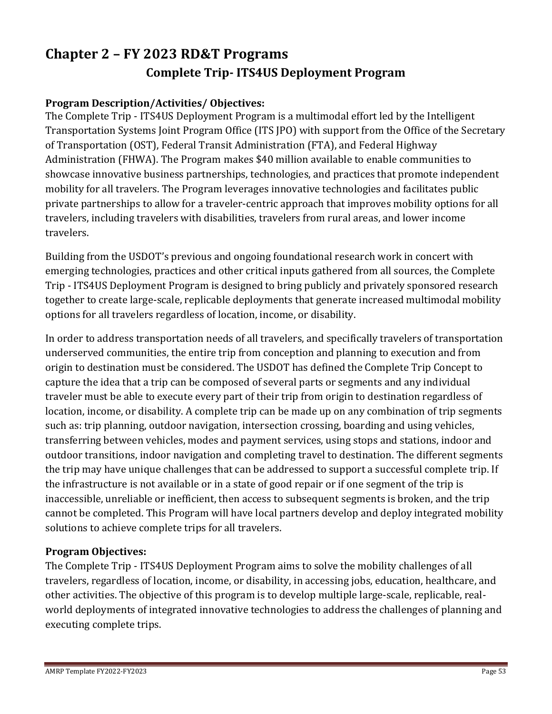# <span id="page-52-1"></span><span id="page-52-0"></span>**Chapter 2 – FY 2023 RD&T Programs Complete Trip- ITS4US Deployment Program**

## **Program Description/Activities/ Objectives:**

The Complete Trip - ITS4US Deployment Program is a multimodal effort led by the Intelligent Transportation Systems Joint Program Office (ITS JPO) with support from the Office of the Secretary of Transportation (OST), Federal Transit Administration (FTA), and Federal Highway Administration (FHWA). The Program makes \$40 million available to enable communities to showcase innovative business partnerships, technologies, and practices that promote independent mobility for all travelers. The Program leverages innovative technologies and facilitates public private partnerships to allow for a traveler-centric approach that improves mobility options for all travelers, including travelers with disabilities, travelers from rural areas, and lower income travelers.

Building from the USDOT's previous and ongoing foundational research work in concert with emerging technologies, practices and other critical inputs gathered from all sources, the Complete Trip - ITS4US Deployment Program is designed to bring publicly and privately sponsored research together to create large-scale, replicable deployments that generate increased multimodal mobility options for all travelers regardless of location, income, or disability.

In order to address transportation needs of all travelers, and specifically travelers of transportation underserved communities, the entire trip from conception and planning to execution and from origin to destination must be considered. The USDOT has defined the Complete Trip Concept to capture the idea that a trip can be composed of several parts or segments and any individual traveler must be able to execute every part of their trip from origin to destination regardless of location, income, or disability. A complete trip can be made up on any combination of trip segments such as: trip planning, outdoor navigation, intersection crossing, boarding and using vehicles, transferring between vehicles, modes and payment services, using stops and stations, indoor and outdoor transitions, indoor navigation and completing travel to destination. The different segments the trip may have unique challenges that can be addressed to support a successful complete trip. If the infrastructure is not available or in a state of good repair or if one segment of the trip is inaccessible, unreliable or inefficient, then access to subsequent segments is broken, and the trip cannot be completed. This Program will have local partners develop and deploy integrated mobility solutions to achieve complete trips for all travelers.

### **Program Objectives:**

The Complete Trip - ITS4US Deployment Program aims to solve the mobility challenges of all travelers, regardless of location, income, or disability, in accessing jobs, education, healthcare, and other activities. The objective of this program is to develop multiple large-scale, replicable, realworld deployments of integrated innovative technologies to address the challenges of planning and executing complete trips.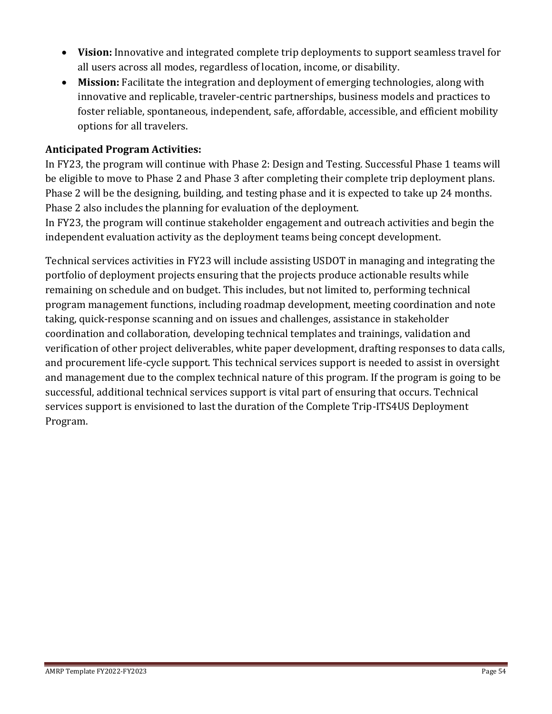- **Vision:** Innovative and integrated complete trip deployments to support seamless travel for all users across all modes, regardless of location, income, or disability.
- **Mission:** Facilitate the integration and deployment of emerging technologies, along with innovative and replicable, traveler-centric partnerships, business models and practices to foster reliable, spontaneous, independent, safe, affordable, accessible, and efficient mobility options for all travelers.

### **Anticipated Program Activities:**

In FY23, the program will continue with Phase 2: Design and Testing. Successful Phase 1 teams will be eligible to move to Phase 2 and Phase 3 after completing their complete trip deployment plans. Phase 2 will be the designing, building, and testing phase and it is expected to take up 24 months. Phase 2 also includes the planning for evaluation of the deployment.

In FY23, the program will continue stakeholder engagement and outreach activities and begin the independent evaluation activity as the deployment teams being concept development.

Technical services activities in FY23 will include assisting USDOT in managing and integrating the portfolio of deployment projects ensuring that the projects produce actionable results while remaining on schedule and on budget. This includes, but not limited to, performing technical program management functions, including roadmap development, meeting coordination and note taking, quick-response scanning and on issues and challenges, assistance in stakeholder coordination and collaboration, developing technical templates and trainings, validation and verification of other project deliverables, white paper development, drafting responses to data calls, and procurement life-cycle support. This technical services support is needed to assist in oversight and management due to the complex technical nature of this program. If the program is going to be successful, additional technical services support is vital part of ensuring that occurs. Technical services support is envisioned to last the duration of the Complete Trip-ITS4US Deployment Program.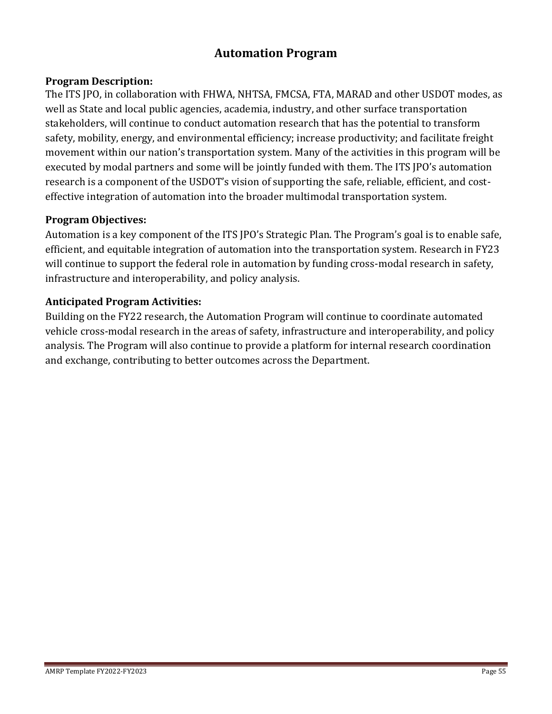## **Automation Program**

#### <span id="page-54-0"></span>**Program Description:**

The ITS JPO, in collaboration with FHWA, NHTSA, FMCSA, FTA, MARAD and other USDOT modes, as well as State and local public agencies, academia, industry, and other surface transportation stakeholders, will continue to conduct automation research that has the potential to transform safety, mobility, energy, and environmental efficiency; increase productivity; and facilitate freight movement within our nation's transportation system. Many of the activities in this program will be executed by modal partners and some will be jointly funded with them. The ITS JPO's automation research is a component of the USDOT's vision of supporting the safe, reliable, efficient, and costeffective integration of automation into the broader multimodal transportation system.

#### **Program Objectives:**

Automation is a key component of the ITS JPO's Strategic Plan. The Program's goal is to enable safe, efficient, and equitable integration of automation into the transportation system. Research in FY23 will continue to support the federal role in automation by funding cross-modal research in safety, infrastructure and interoperability, and policy analysis.

#### **Anticipated Program Activities:**

Building on the FY22 research, the Automation Program will continue to coordinate automated vehicle cross-modal research in the areas of safety, infrastructure and interoperability, and policy analysis. The Program will also continue to provide a platform for internal research coordination and exchange, contributing to better outcomes across the Department.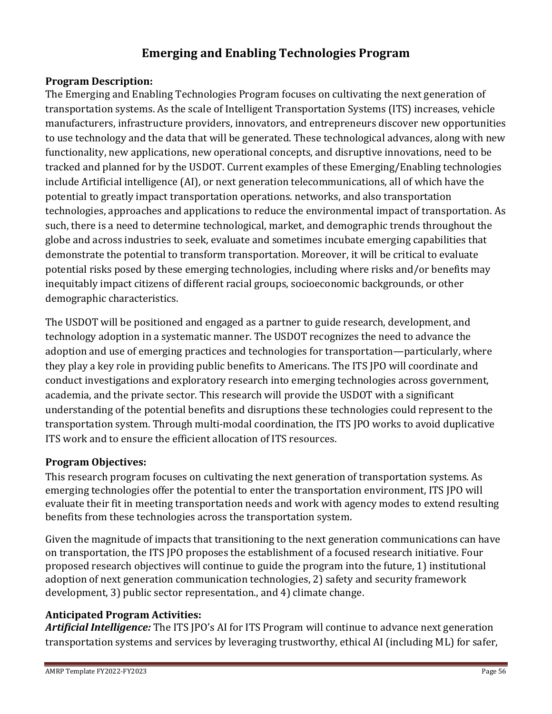## **Emerging and Enabling Technologies Program**

#### <span id="page-55-0"></span>**Program Description:**

The Emerging and Enabling Technologies Program focuses on cultivating the next generation of transportation systems. As the scale of Intelligent Transportation Systems (ITS) increases, vehicle manufacturers, infrastructure providers, innovators, and entrepreneurs discover new opportunities to use technology and the data that will be generated. These technological advances, along with new functionality, new applications, new operational concepts, and disruptive innovations, need to be tracked and planned for by the USDOT. Current examples of these Emerging/Enabling technologies include Artificial intelligence (AI), or next generation telecommunications, all of which have the potential to greatly impact transportation operations. networks, and also transportation technologies, approaches and applications to reduce the environmental impact of transportation. As such, there is a need to determine technological, market, and demographic trends throughout the globe and across industries to seek, evaluate and sometimes incubate emerging capabilities that demonstrate the potential to transform transportation. Moreover, it will be critical to evaluate potential risks posed by these emerging technologies, including where risks and/or benefits may inequitably impact citizens of different racial groups, socioeconomic backgrounds, or other demographic characteristics.

The USDOT will be positioned and engaged as a partner to guide research, development, and technology adoption in a systematic manner. The USDOT recognizes the need to advance the adoption and use of emerging practices and technologies for transportation—particularly, where they play a key role in providing public benefits to Americans. The ITS JPO will coordinate and conduct investigations and exploratory research into emerging technologies across government, academia, and the private sector. This research will provide the USDOT with a significant understanding of the potential benefits and disruptions these technologies could represent to the transportation system. Through multi-modal coordination, the ITS JPO works to avoid duplicative ITS work and to ensure the efficient allocation of ITS resources.

### **Program Objectives:**

This research program focuses on cultivating the next generation of transportation systems. As emerging technologies offer the potential to enter the transportation environment, ITS JPO will evaluate their fit in meeting transportation needs and work with agency modes to extend resulting benefits from these technologies across the transportation system.

Given the magnitude of impacts that transitioning to the next generation communications can have on transportation, the ITS JPO proposes the establishment of a focused research initiative. Four proposed research objectives will continue to guide the program into the future, 1) institutional adoption of next generation communication technologies, 2) safety and security framework development, 3) public sector representation., and 4) climate change.

### **Anticipated Program Activities:**

*Artificial Intelligence:* The ITS JPO's AI for ITS Program will continue to advance next generation transportation systems and services by leveraging trustworthy, ethical AI (including ML) for safer,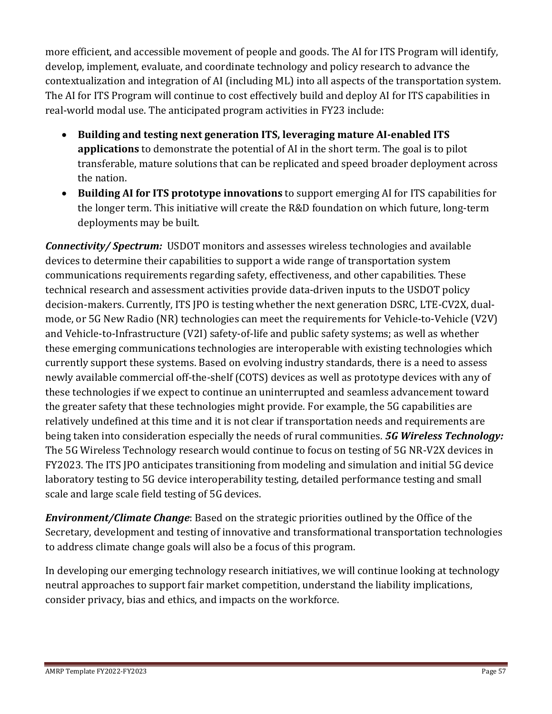more efficient, and accessible movement of people and goods. The AI for ITS Program will identify, develop, implement, evaluate, and coordinate technology and policy research to advance the contextualization and integration of AI (including ML) into all aspects of the transportation system. The AI for ITS Program will continue to cost effectively build and deploy AI for ITS capabilities in real-world modal use. The anticipated program activities in FY23 include:

- **Building and testing next generation ITS, leveraging mature AI-enabled ITS applications** to demonstrate the potential of AI in the short term. The goal is to pilot transferable, mature solutions that can be replicated and speed broader deployment across the nation.
- **Building AI for ITS prototype innovations** to support emerging AI for ITS capabilities for the longer term. This initiative will create the R&D foundation on which future, long-term deployments may be built.

*Connectivity/ Spectrum:* USDOT monitors and assesses wireless technologies and available devices to determine their capabilities to support a wide range of transportation system communications requirements regarding safety, effectiveness, and other capabilities. These technical research and assessment activities provide data-driven inputs to the USDOT policy decision-makers. Currently, ITS JPO is testing whether the next generation DSRC, LTE-CV2X, dualmode, or 5G New Radio (NR) technologies can meet the requirements for Vehicle-to-Vehicle (V2V) and Vehicle-to-Infrastructure (V2I) safety-of-life and public safety systems; as well as whether these emerging communications technologies are interoperable with existing technologies which currently support these systems. Based on evolving industry standards, there is a need to assess newly available commercial off-the-shelf (COTS) devices as well as prototype devices with any of these technologies if we expect to continue an uninterrupted and seamless advancement toward the greater safety that these technologies might provide. For example, the 5G capabilities are relatively undefined at this time and it is not clear if transportation needs and requirements are being taken into consideration especially the needs of rural communities. *5G Wireless Technology:*  The 5G Wireless Technology research would continue to focus on testing of 5G NR-V2X devices in FY2023. The ITS JPO anticipates transitioning from modeling and simulation and initial 5G device laboratory testing to 5G device interoperability testing, detailed performance testing and small scale and large scale field testing of 5G devices.

*Environment/Climate Change*: Based on the strategic priorities outlined by the Office of the Secretary, development and testing of innovative and transformational transportation technologies to address climate change goals will also be a focus of this program.

In developing our emerging technology research initiatives, we will continue looking at technology neutral approaches to support fair market competition, understand the liability implications, consider privacy, bias and ethics, and impacts on the workforce.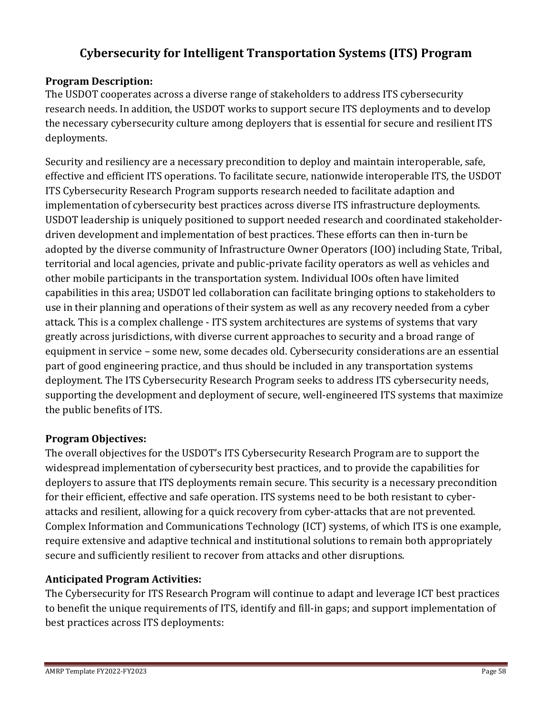## **Cybersecurity for Intelligent Transportation Systems (ITS) Program**

### <span id="page-57-0"></span>**Program Description:**

The USDOT cooperates across a diverse range of stakeholders to address ITS cybersecurity research needs. In addition, the USDOT works to support secure ITS deployments and to develop the necessary cybersecurity culture among deployers that is essential for secure and resilient ITS deployments.

Security and resiliency are a necessary precondition to deploy and maintain interoperable, safe, effective and efficient ITS operations. To facilitate secure, nationwide interoperable ITS, the USDOT ITS Cybersecurity Research Program supports research needed to facilitate adaption and implementation of cybersecurity best practices across diverse ITS infrastructure deployments. USDOT leadership is uniquely positioned to support needed research and coordinated stakeholderdriven development and implementation of best practices. These efforts can then in-turn be adopted by the diverse community of Infrastructure Owner Operators (IOO) including State, Tribal, territorial and local agencies, private and public-private facility operators as well as vehicles and other mobile participants in the transportation system. Individual IOOs often have limited capabilities in this area; USDOT led collaboration can facilitate bringing options to stakeholders to use in their planning and operations of their system as well as any recovery needed from a cyber attack. This is a complex challenge - ITS system architectures are systems of systems that vary greatly across jurisdictions, with diverse current approaches to security and a broad range of equipment in service – some new, some decades old. Cybersecurity considerations are an essential part of good engineering practice, and thus should be included in any transportation systems deployment. The ITS Cybersecurity Research Program seeks to address ITS cybersecurity needs, supporting the development and deployment of secure, well-engineered ITS systems that maximize the public benefits of ITS.

### **Program Objectives:**

The overall objectives for the USDOT's ITS Cybersecurity Research Program are to support the widespread implementation of cybersecurity best practices, and to provide the capabilities for deployers to assure that ITS deployments remain secure. This security is a necessary precondition for their efficient, effective and safe operation. ITS systems need to be both resistant to cyberattacks and resilient, allowing for a quick recovery from cyber-attacks that are not prevented. Complex Information and Communications Technology (ICT) systems, of which ITS is one example, require extensive and adaptive technical and institutional solutions to remain both appropriately secure and sufficiently resilient to recover from attacks and other disruptions.

### **Anticipated Program Activities:**

The Cybersecurity for ITS Research Program will continue to adapt and leverage ICT best practices to benefit the unique requirements of ITS, identify and fill-in gaps; and support implementation of best practices across ITS deployments: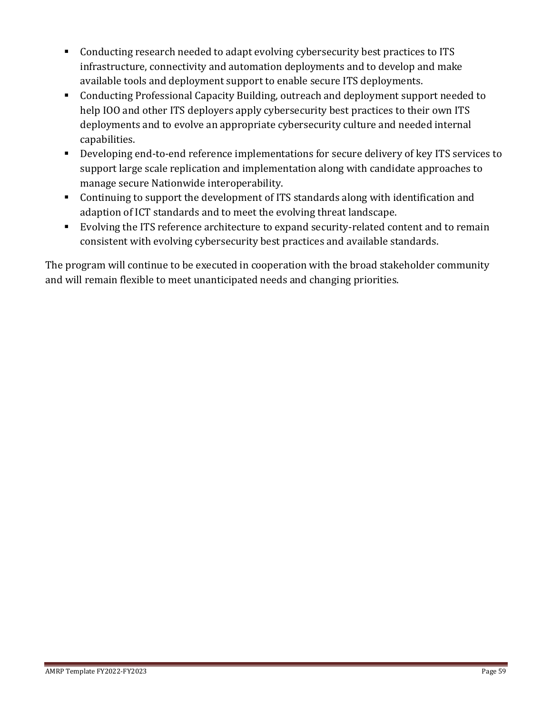- Conducting research needed to adapt evolving cybersecurity best practices to ITS infrastructure, connectivity and automation deployments and to develop and make available tools and deployment support to enable secure ITS deployments.
- Conducting Professional Capacity Building, outreach and deployment support needed to help IOO and other ITS deployers apply cybersecurity best practices to their own ITS deployments and to evolve an appropriate cybersecurity culture and needed internal capabilities.
- Developing end-to-end reference implementations for secure delivery of key ITS services to support large scale replication and implementation along with candidate approaches to manage secure Nationwide interoperability.
- Continuing to support the development of ITS standards along with identification and adaption of ICT standards and to meet the evolving threat landscape.
- Evolving the ITS reference architecture to expand security-related content and to remain consistent with evolving cybersecurity best practices and available standards.

The program will continue to be executed in cooperation with the broad stakeholder community and will remain flexible to meet unanticipated needs and changing priorities.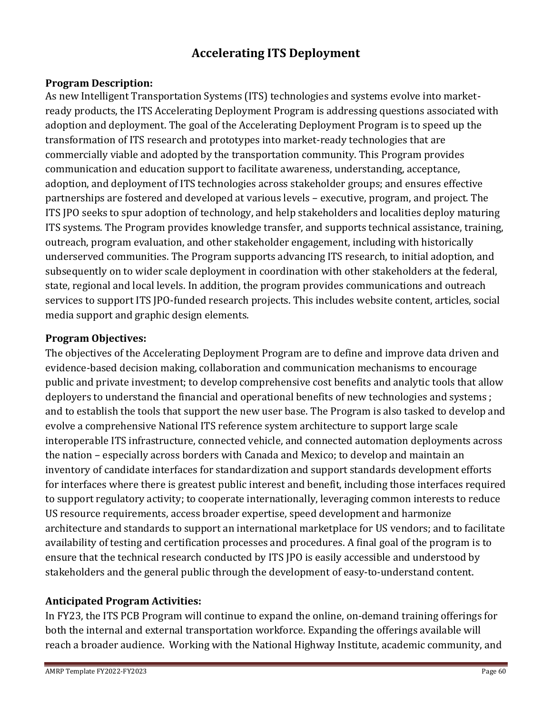## **Accelerating ITS Deployment**

### <span id="page-59-0"></span>**Program Description:**

As new Intelligent Transportation Systems (ITS) technologies and systems evolve into marketready products, the ITS Accelerating Deployment Program is addressing questions associated with adoption and deployment. The goal of the Accelerating Deployment Program is to speed up the transformation of ITS research and prototypes into market-ready technologies that are commercially viable and adopted by the transportation community. This Program provides communication and education support to facilitate awareness, understanding, acceptance, adoption, and deployment of ITS technologies across stakeholder groups; and ensures effective partnerships are fostered and developed at various levels – executive, program, and project. The ITS JPO seeks to spur adoption of technology, and help stakeholders and localities deploy maturing ITS systems. The Program provides knowledge transfer, and supports technical assistance, training, outreach, program evaluation, and other stakeholder engagement, including with historically underserved communities. The Program supports advancing ITS research, to initial adoption, and subsequently on to wider scale deployment in coordination with other stakeholders at the federal, state, regional and local levels. In addition, the program provides communications and outreach services to support ITS JPO-funded research projects. This includes website content, articles, social media support and graphic design elements.

#### **Program Objectives:**

The objectives of the Accelerating Deployment Program are to define and improve data driven and evidence-based decision making, collaboration and communication mechanisms to encourage public and private investment; to develop comprehensive cost benefits and analytic tools that allow deployers to understand the financial and operational benefits of new technologies and systems ; and to establish the tools that support the new user base. The Program is also tasked to develop and evolve a comprehensive National ITS reference system architecture to support large scale interoperable ITS infrastructure, connected vehicle, and connected automation deployments across the nation – especially across borders with Canada and Mexico; to develop and maintain an inventory of candidate interfaces for standardization and support standards development efforts for interfaces where there is greatest public interest and benefit, including those interfaces required to support regulatory activity; to cooperate internationally, leveraging common interests to reduce US resource requirements, access broader expertise, speed development and harmonize architecture and standards to support an international marketplace for US vendors; and to facilitate availability of testing and certification processes and procedures. A final goal of the program is to ensure that the technical research conducted by ITS JPO is easily accessible and understood by stakeholders and the general public through the development of easy-to-understand content.

### **Anticipated Program Activities:**

In FY23, the ITS PCB Program will continue to expand the online, on-demand training offerings for both the internal and external transportation workforce. Expanding the offerings available will reach a broader audience. Working with the National Highway Institute, academic community, and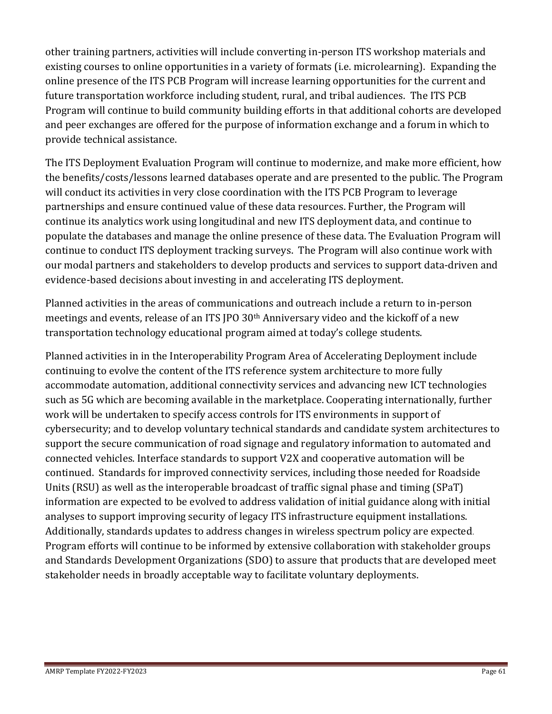other training partners, activities will include converting in-person ITS workshop materials and existing courses to online opportunities in a variety of formats (i.e. microlearning). Expanding the online presence of the ITS PCB Program will increase learning opportunities for the current and future transportation workforce including student, rural, and tribal audiences. The ITS PCB Program will continue to build community building efforts in that additional cohorts are developed and peer exchanges are offered for the purpose of information exchange and a forum in which to provide technical assistance.

The ITS Deployment Evaluation Program will continue to modernize, and make more efficient, how the benefits/costs/lessons learned databases operate and are presented to the public. The Program will conduct its activities in very close coordination with the ITS PCB Program to leverage partnerships and ensure continued value of these data resources. Further, the Program will continue its analytics work using longitudinal and new ITS deployment data, and continue to populate the databases and manage the online presence of these data. The Evaluation Program will continue to conduct ITS deployment tracking surveys. The Program will also continue work with our modal partners and stakeholders to develop products and services to support data-driven and evidence-based decisions about investing in and accelerating ITS deployment.

Planned activities in the areas of communications and outreach include a return to in-person meetings and events, release of an ITS JPO 30th Anniversary video and the kickoff of a new transportation technology educational program aimed at today's college students.

Planned activities in in the Interoperability Program Area of Accelerating Deployment include continuing to evolve the content of the ITS reference system architecture to more fully accommodate automation, additional connectivity services and advancing new ICT technologies such as 5G which are becoming available in the marketplace. Cooperating internationally, further work will be undertaken to specify access controls for ITS environments in support of cybersecurity; and to develop voluntary technical standards and candidate system architectures to support the secure communication of road signage and regulatory information to automated and connected vehicles. Interface standards to support V2X and cooperative automation will be continued. Standards for improved connectivity services, including those needed for Roadside Units (RSU) as well as the interoperable broadcast of traffic signal phase and timing (SPaT) information are expected to be evolved to address validation of initial guidance along with initial analyses to support improving security of legacy ITS infrastructure equipment installations. Additionally, standards updates to address changes in wireless spectrum policy are expected. Program efforts will continue to be informed by extensive collaboration with stakeholder groups and Standards Development Organizations (SDO) to assure that products that are developed meet stakeholder needs in broadly acceptable way to facilitate voluntary deployments.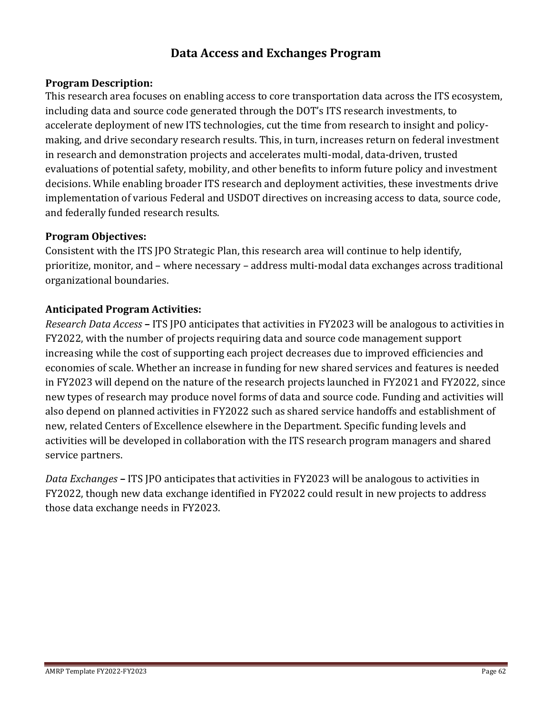## **Data Access and Exchanges Program**

#### <span id="page-61-0"></span>**Program Description:**

This research area focuses on enabling access to core transportation data across the ITS ecosystem, including data and source code generated through the DOT's ITS research investments, to accelerate deployment of new ITS technologies, cut the time from research to insight and policymaking, and drive secondary research results. This, in turn, increases return on federal investment in research and demonstration projects and accelerates multi-modal, data-driven, trusted evaluations of potential safety, mobility, and other benefits to inform future policy and investment decisions. While enabling broader ITS research and deployment activities, these investments drive implementation of various Federal and USDOT directives on increasing access to data, source code, and federally funded research results.

#### **Program Objectives:**

Consistent with the ITS JPO Strategic Plan, this research area will continue to help identify, prioritize, monitor, and – where necessary – address multi-modal data exchanges across traditional organizational boundaries.

#### **Anticipated Program Activities:**

*Research Data Access* **–** ITS JPO anticipates that activities in FY2023 will be analogous to activities in FY2022, with the number of projects requiring data and source code management support increasing while the cost of supporting each project decreases due to improved efficiencies and economies of scale. Whether an increase in funding for new shared services and features is needed in FY2023 will depend on the nature of the research projects launched in FY2021 and FY2022, since new types of research may produce novel forms of data and source code. Funding and activities will also depend on planned activities in FY2022 such as shared service handoffs and establishment of new, related Centers of Excellence elsewhere in the Department. Specific funding levels and activities will be developed in collaboration with the ITS research program managers and shared service partners.

*Data Exchanges* **–** ITS JPO anticipates that activities in FY2023 will be analogous to activities in FY2022, though new data exchange identified in FY2022 could result in new projects to address those data exchange needs in FY2023.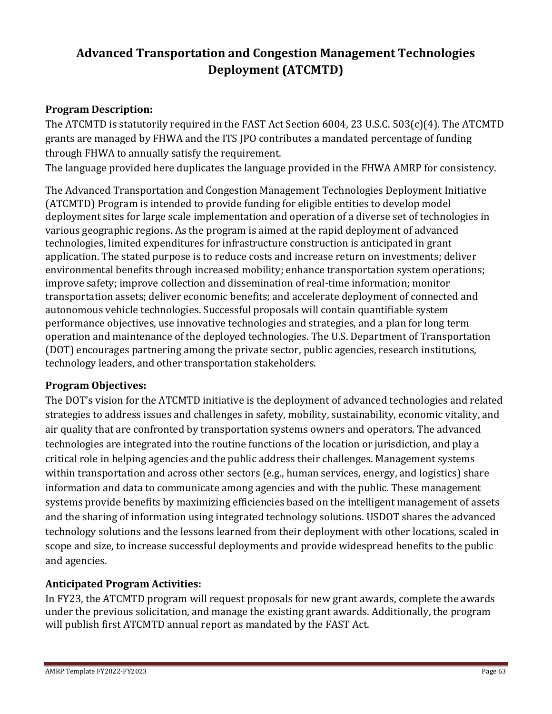# <span id="page-62-0"></span>**Advanced Transportation and Congestion Management Technologies Deployment (ATCMTD)**

### **Program Description:**

The ATCMTD is statutorily required in the FAST Act Section 6004, 23 U.S.C. 503(c)(4). The ATCMTD grants are managed by FHWA and the ITS JPO contributes a mandated percentage of funding through FHWA to annually satisfy the requirement.

The language provided here duplicates the language provided in the FHWA AMRP for consistency.

The Advanced Transportation and Congestion Management Technologies Deployment Initiative (ATCMTD) Program is intended to provide funding for eligible entities to develop model deployment sites for large scale implementation and operation of a diverse set of technologies in various geographic regions. As the program is aimed at the rapid deployment of advanced technologies, limited expenditures for infrastructure construction is anticipated in grant application. The stated purpose is to reduce costs and increase return on investments; deliver environmental benefits through increased mobility; enhance transportation system operations; improve safety; improve collection and dissemination of real-time information; monitor transportation assets; deliver economic benefits; and accelerate deployment of connected and autonomous vehicle technologies. Successful proposals will contain quantifiable system performance objectives, use innovative technologies and strategies, and a plan for long term operation and maintenance of the deployed technologies. The U.S. Department of Transportation (DOT) encourages partnering among the private sector, public agencies, research institutions, technology leaders, and other transportation stakeholders.

#### **Program Objectives:**

The DOT's vision for the ATCMTD initiative is the deployment of advanced technologies and related strategies to address issues and challenges in safety, mobility, sustainability, economic vitality, and air quality that are confronted by transportation systems owners and operators. The advanced technologies are integrated into the routine functions of the location or jurisdiction, and play a critical role in helping agencies and the public address their challenges. Management systems within transportation and across other sectors (e.g., human services, energy, and logistics) share information and data to communicate among agencies and with the public. These management systems provide benefits by maximizing efficiencies based on the intelligent management of assets and the sharing of information using integrated technology solutions. USDOT shares the advanced technology solutions and the lessons learned from their deployment with other locations, scaled in scope and size, to increase successful deployments and provide widespread benefits to the public and agencies.

### **Anticipated Program Activities:**

In FY23, the ATCMTD program will request proposals for new grant awards, complete the awards under the previous solicitation, and manage the existing grant awards. Additionally, the program will publish first ATCMTD annual report as mandated by the FAST Act.